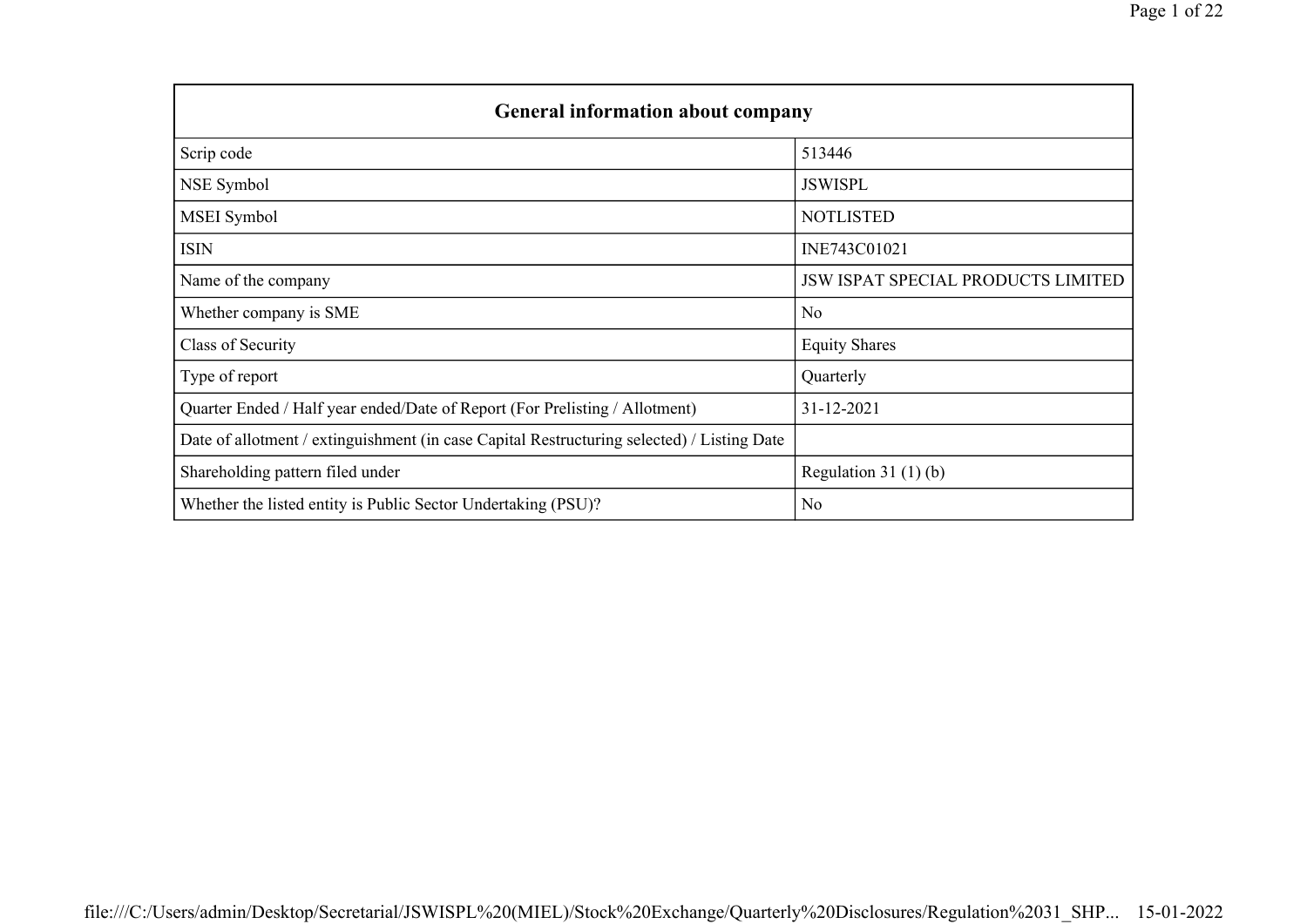| <b>General information about company</b>                                                   |                                           |
|--------------------------------------------------------------------------------------------|-------------------------------------------|
| Scrip code                                                                                 | 513446                                    |
| NSE Symbol                                                                                 | <b>JSWISPL</b>                            |
| <b>MSEI</b> Symbol                                                                         | <b>NOTLISTED</b>                          |
| ISIN                                                                                       | INE743C01021                              |
| Name of the company                                                                        | <b>JSW ISPAT SPECIAL PRODUCTS LIMITED</b> |
| Whether company is SME                                                                     | N <sub>o</sub>                            |
| Class of Security                                                                          | <b>Equity Shares</b>                      |
| Type of report                                                                             | Quarterly                                 |
| Quarter Ended / Half year ended/Date of Report (For Prelisting / Allotment)                | 31-12-2021                                |
| Date of allotment / extinguishment (in case Capital Restructuring selected) / Listing Date |                                           |
| Shareholding pattern filed under                                                           | Regulation 31 $(1)(b)$                    |
| Whether the listed entity is Public Sector Undertaking (PSU)?                              | N <sub>o</sub>                            |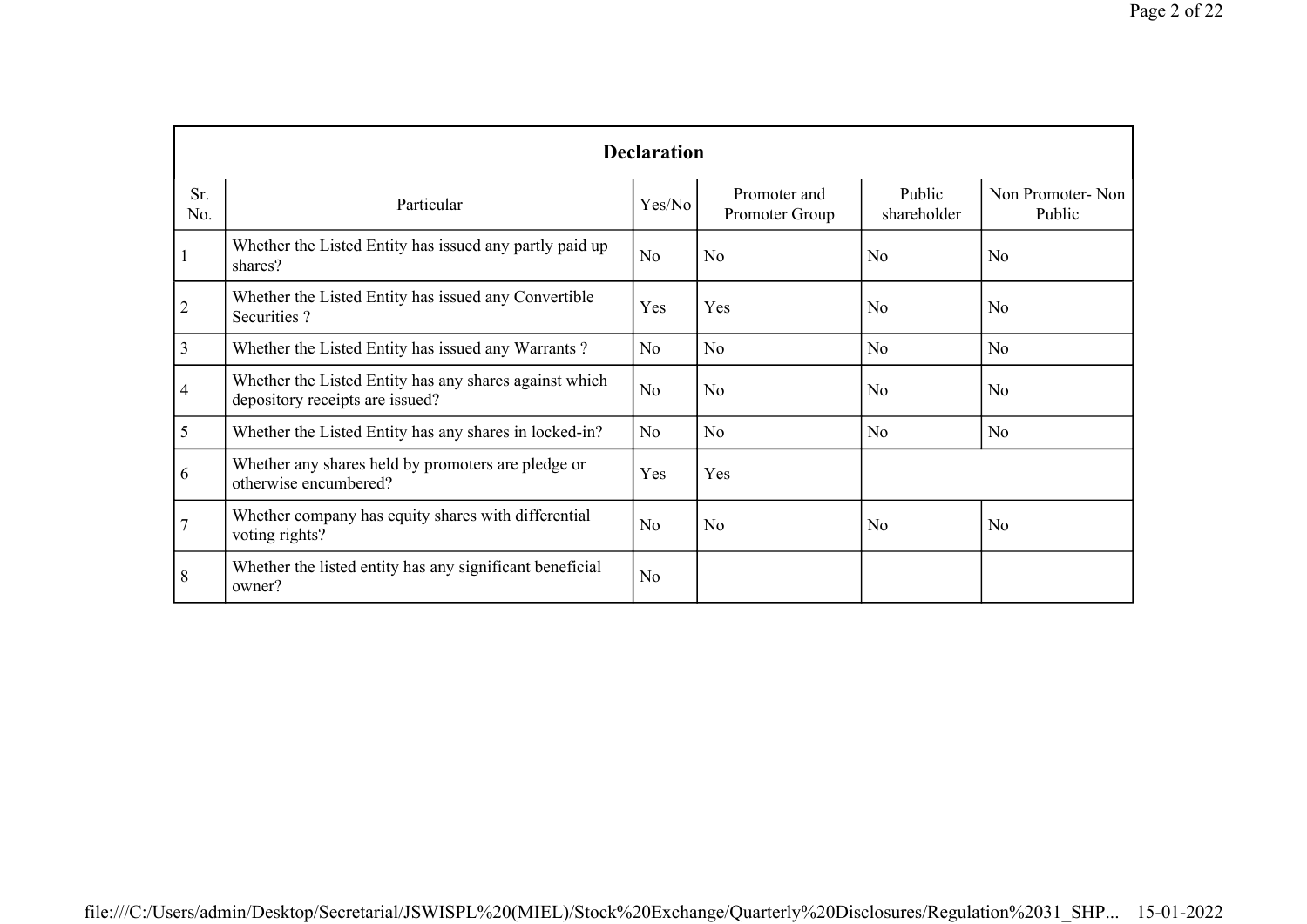|                |                                                                                           | <b>Declaration</b> |                                |                       |                            |
|----------------|-------------------------------------------------------------------------------------------|--------------------|--------------------------------|-----------------------|----------------------------|
| Sr.<br>No.     | Particular                                                                                | Yes/No             | Promoter and<br>Promoter Group | Public<br>shareholder | Non Promoter-Non<br>Public |
|                | Whether the Listed Entity has issued any partly paid up<br>shares?                        | N <sub>o</sub>     | N <sub>o</sub>                 | N <sub>o</sub>        | N <sub>o</sub>             |
| $\overline{2}$ | Whether the Listed Entity has issued any Convertible<br>Securities?                       | Yes                | Yes                            | No                    | No                         |
| 3              | Whether the Listed Entity has issued any Warrants?                                        | N <sub>o</sub>     | N <sub>o</sub>                 | N <sub>o</sub>        | No                         |
| 4              | Whether the Listed Entity has any shares against which<br>depository receipts are issued? | N <sub>o</sub>     | N <sub>o</sub>                 | N <sub>o</sub>        | No                         |
| 5              | Whether the Listed Entity has any shares in locked-in?                                    | No                 | N <sub>o</sub>                 | No                    | No                         |
| 6              | Whether any shares held by promoters are pledge or<br>otherwise encumbered?               | Yes                | Yes                            |                       |                            |
| $\overline{7}$ | Whether company has equity shares with differential<br>voting rights?                     | No                 | No                             | N <sub>o</sub>        | No                         |
| 8              | Whether the listed entity has any significant beneficial<br>owner?                        | N <sub>o</sub>     |                                |                       |                            |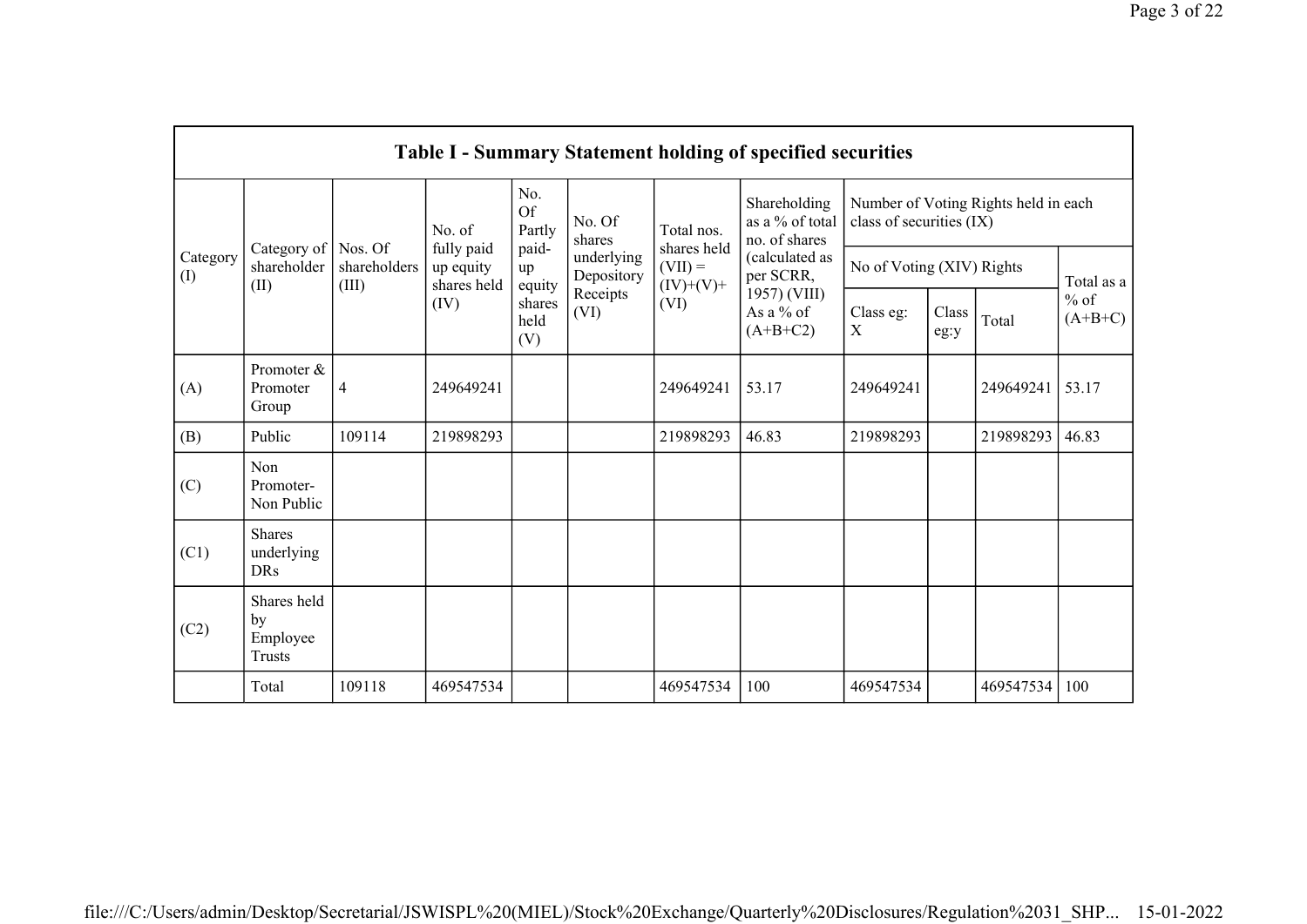|                 |                                                |                                  |                                        |                       |                          |                                                                        | <b>Table I - Summary Statement holding of specified securities</b> |                           |               |                                      |                     |
|-----------------|------------------------------------------------|----------------------------------|----------------------------------------|-----------------------|--------------------------|------------------------------------------------------------------------|--------------------------------------------------------------------|---------------------------|---------------|--------------------------------------|---------------------|
|                 |                                                |                                  | No. of                                 | No.<br>Of<br>Partly   | No. Of<br>shares         | Total nos.                                                             | Shareholding<br>as a % of total<br>no. of shares                   | class of securities (IX)  |               | Number of Voting Rights held in each |                     |
| Category<br>(I) | Category of<br>shareholder<br>(II)             | Nos. Of<br>shareholders<br>(III) | fully paid<br>up equity<br>shares held | paid-<br>up<br>equity | underlying<br>Depository | shares held<br>(calculated as<br>$(VII) =$<br>per SCRR,<br>$(IV)+(V)+$ |                                                                    | No of Voting (XIV) Rights |               |                                      | Total as a          |
|                 |                                                |                                  | (IV)                                   | shares<br>held<br>(V) | Receipts<br>(VI)         | (VI)                                                                   | 1957) (VIII)<br>As a % of<br>$(A+B+C2)$                            | Class eg:<br>X            | Class<br>eg:y | Total                                | $%$ of<br>$(A+B+C)$ |
| (A)             | Promoter &<br>Promoter<br>Group                | $\overline{4}$                   | 249649241                              |                       |                          | 249649241                                                              | 53.17                                                              | 249649241                 |               | 249649241                            | 53.17               |
| (B)             | Public                                         | 109114                           | 219898293                              |                       |                          | 219898293                                                              | 46.83                                                              | 219898293                 |               | 219898293                            | 46.83               |
| (C)             | Non<br>Promoter-<br>Non Public                 |                                  |                                        |                       |                          |                                                                        |                                                                    |                           |               |                                      |                     |
| (C1)            | <b>Shares</b><br>underlying<br><b>DRs</b>      |                                  |                                        |                       |                          |                                                                        |                                                                    |                           |               |                                      |                     |
| (C2)            | Shares held<br>by<br>Employee<br><b>Trusts</b> |                                  |                                        |                       |                          |                                                                        |                                                                    |                           |               |                                      |                     |
|                 | Total                                          | 109118                           | 469547534                              |                       |                          | 469547534                                                              | 100                                                                | 469547534                 |               | 469547534                            | 100                 |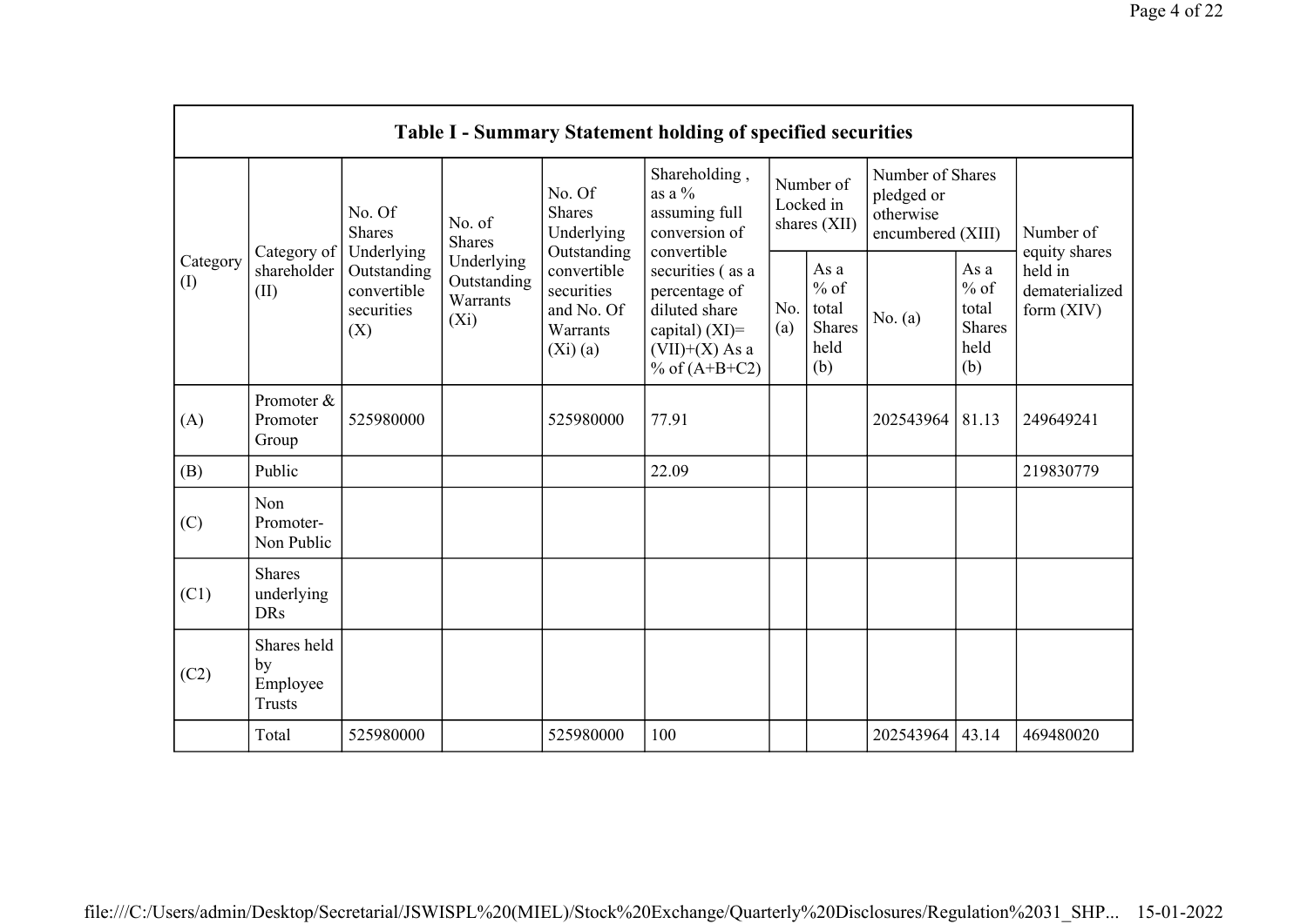|                                        |                                                |                                                 |                                                  |                                                                | <b>Table I - Summary Statement holding of specified securities</b>                                             |            |                                                         |                                                                  |                                                         |                                           |
|----------------------------------------|------------------------------------------------|-------------------------------------------------|--------------------------------------------------|----------------------------------------------------------------|----------------------------------------------------------------------------------------------------------------|------------|---------------------------------------------------------|------------------------------------------------------------------|---------------------------------------------------------|-------------------------------------------|
|                                        |                                                | No. Of<br><b>Shares</b><br>Underlying           | No. of<br><b>Shares</b>                          | No. Of<br><b>Shares</b><br>Underlying<br>Outstanding           | Shareholding,<br>as a $\%$<br>assuming full<br>conversion of<br>convertible                                    |            | Number of<br>Locked in<br>shares (XII)                  | Number of Shares<br>pledged or<br>otherwise<br>encumbered (XIII) |                                                         | Number of<br>equity shares                |
| Category<br>$\left( \mathrm{I}\right)$ | Category of<br>shareholder<br>(II)             | Outstanding<br>convertible<br>securities<br>(X) | Underlying<br>Outstanding<br>Warrants<br>$(X_i)$ | convertible<br>securities<br>and No. Of<br>Warrants<br>(Xi)(a) | securities (as a<br>percentage of<br>diluted share<br>capital) $(XI)$ =<br>$(VII)+(X)$ As a<br>% of $(A+B+C2)$ | No.<br>(a) | As a<br>$%$ of<br>total<br><b>Shares</b><br>held<br>(b) | No. (a)                                                          | As a<br>$%$ of<br>total<br><b>Shares</b><br>held<br>(b) | held in<br>dematerialized<br>form $(XIV)$ |
| (A)                                    | Promoter &<br>Promoter<br>Group                | 525980000                                       |                                                  | 525980000                                                      | 77.91                                                                                                          |            |                                                         | 202543964                                                        | 81.13                                                   | 249649241                                 |
| (B)                                    | Public                                         |                                                 |                                                  |                                                                | 22.09                                                                                                          |            |                                                         |                                                                  |                                                         | 219830779                                 |
| (C)                                    | Non<br>Promoter-<br>Non Public                 |                                                 |                                                  |                                                                |                                                                                                                |            |                                                         |                                                                  |                                                         |                                           |
| (C1)                                   | <b>Shares</b><br>underlying<br><b>DRs</b>      |                                                 |                                                  |                                                                |                                                                                                                |            |                                                         |                                                                  |                                                         |                                           |
| (C2)                                   | Shares held<br>by<br>Employee<br><b>Trusts</b> |                                                 |                                                  |                                                                |                                                                                                                |            |                                                         |                                                                  |                                                         |                                           |
|                                        | Total                                          | 525980000                                       |                                                  | 525980000                                                      | 100                                                                                                            |            |                                                         | 202543964                                                        | 43.14                                                   | 469480020                                 |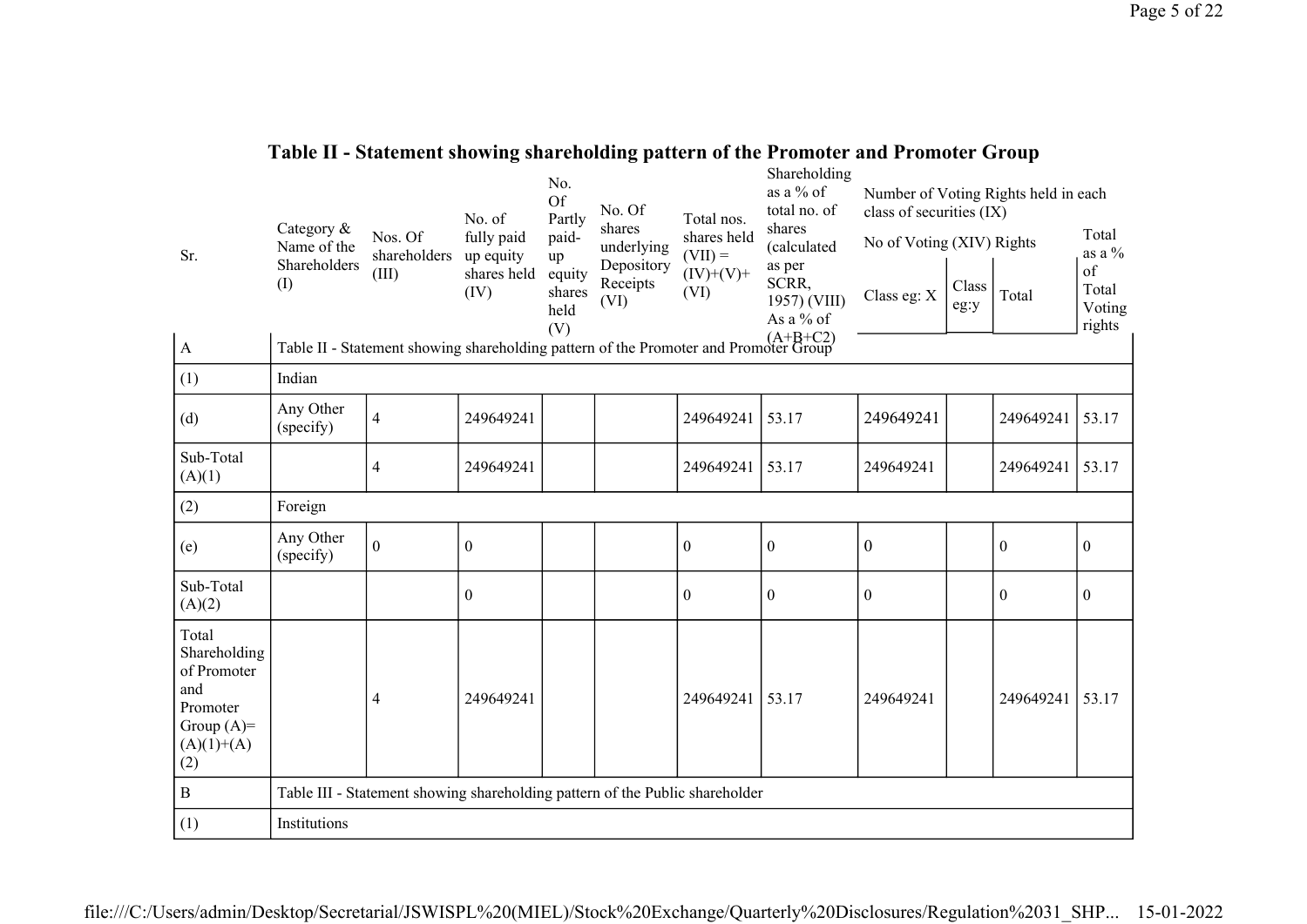| Table II - Statement showing shareholding pattern of the Promoter and Promoter Group |  |
|--------------------------------------------------------------------------------------|--|
| Shoraboldina                                                                         |  |

|                                                                                                | Category &             |                                                                                      | No. of                  | No.<br><b>Of</b><br>Partly            | No. Of<br>shares               | Total nos.               | Snarenoiding<br>as a % of<br>total no. of<br>shares | Number of Voting Rights held in each<br>class of securities (IX) |               |                  | Total                           |
|------------------------------------------------------------------------------------------------|------------------------|--------------------------------------------------------------------------------------|-------------------------|---------------------------------------|--------------------------------|--------------------------|-----------------------------------------------------|------------------------------------------------------------------|---------------|------------------|---------------------------------|
| Sr.                                                                                            | Name of the            | Nos. Of<br>shareholders                                                              | fully paid<br>up equity | paid-                                 | underlying                     | shares held<br>$(VII) =$ | (calculated                                         | No of Voting (XIV) Rights                                        |               |                  | as a %                          |
|                                                                                                | Shareholders<br>(1)    | (III)                                                                                | shares held<br>(IV)     | up<br>equity<br>shares<br>held<br>(V) | Depository<br>Receipts<br>(VI) | $(IV)+(V)+$<br>(VI)      | as per<br>SCRR,<br>1957) (VIII)<br>As a % of        | Class eg: X                                                      | Class<br>eg:y | Total            | of<br>Total<br>Voting<br>rights |
| $\boldsymbol{\mathrm{A}}$                                                                      |                        | Table II - Statement showing shareholding pattern of the Promoter and Promoter Group |                         |                                       |                                |                          |                                                     |                                                                  |               |                  |                                 |
| (1)                                                                                            | Indian                 |                                                                                      |                         |                                       |                                |                          |                                                     |                                                                  |               |                  |                                 |
| (d)                                                                                            | Any Other<br>(specify) | $\overline{4}$                                                                       | 249649241               |                                       |                                | 249649241                | 53.17                                               | 249649241                                                        |               | 249649241        | 53.17                           |
| Sub-Total<br>(A)(1)                                                                            |                        | $\overline{4}$                                                                       | 249649241               |                                       |                                | 249649241                | 53.17                                               | 249649241                                                        |               | 249649241        | 53.17                           |
| (2)                                                                                            | Foreign                |                                                                                      |                         |                                       |                                |                          |                                                     |                                                                  |               |                  |                                 |
| (e)                                                                                            | Any Other<br>(specify) | $\boldsymbol{0}$                                                                     | $\boldsymbol{0}$        |                                       |                                | $\boldsymbol{0}$         | $\boldsymbol{0}$                                    | $\boldsymbol{0}$                                                 |               | $\boldsymbol{0}$ | $\boldsymbol{0}$                |
| Sub-Total<br>(A)(2)                                                                            |                        |                                                                                      | $\mathbf{0}$            |                                       |                                | $\overline{0}$           | $\boldsymbol{0}$                                    | $\boldsymbol{0}$                                                 |               | $\boldsymbol{0}$ | $\mathbf{0}$                    |
| Total<br>Shareholding<br>of Promoter<br>and<br>Promoter<br>Group $(A)=$<br>$(A)(1)+(A)$<br>(2) |                        | $\overline{4}$                                                                       | 249649241               |                                       |                                | 249649241                | 53.17                                               | 249649241                                                        |               | 249649241        | 53.17                           |
| $\, {\bf B}$                                                                                   |                        | Table III - Statement showing shareholding pattern of the Public shareholder         |                         |                                       |                                |                          |                                                     |                                                                  |               |                  |                                 |
| (1)                                                                                            | Institutions           |                                                                                      |                         |                                       |                                |                          |                                                     |                                                                  |               |                  |                                 |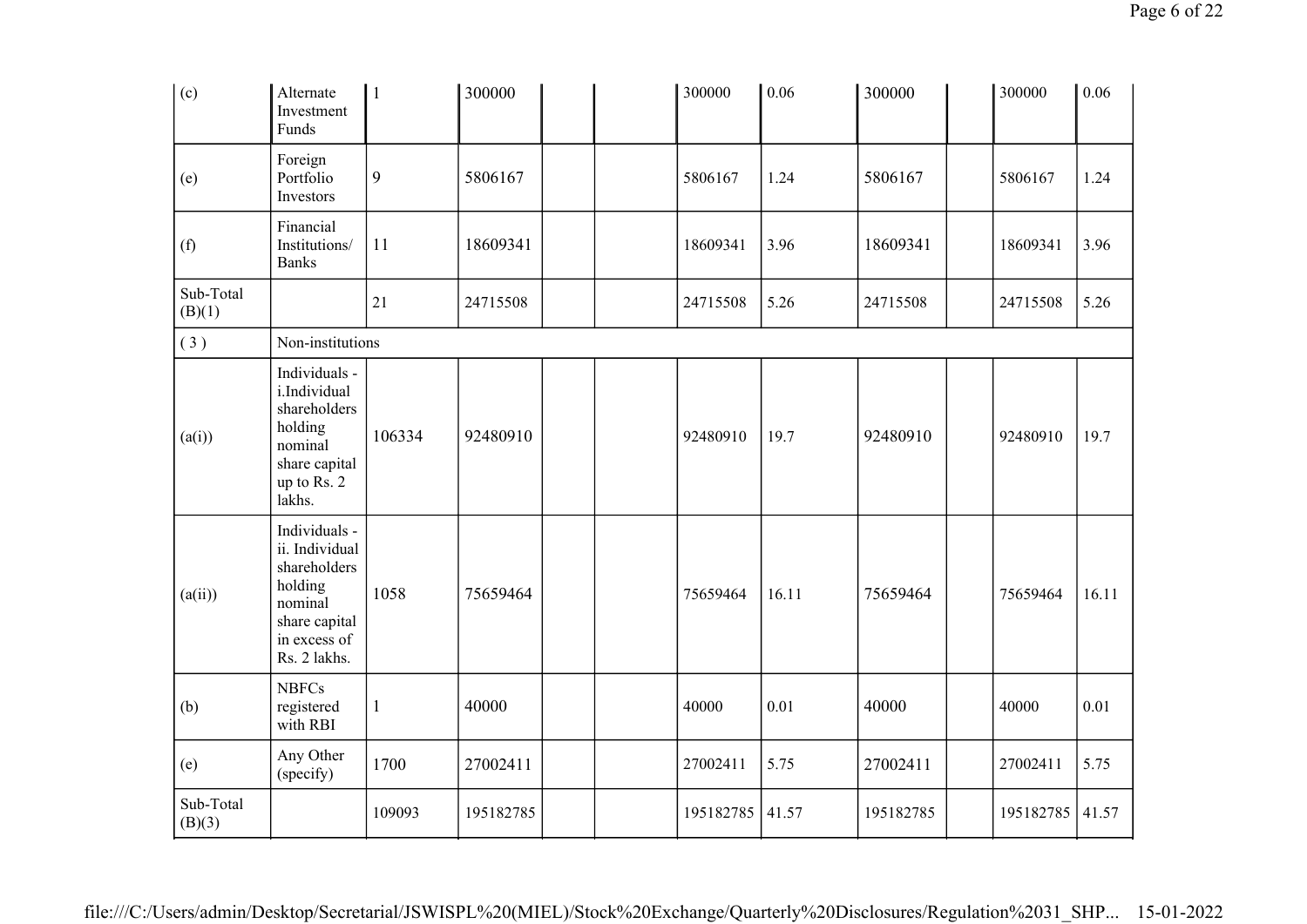| (c)                 | Alternate<br>Investment<br>Funds                                                                                       | $\mathbf{1}$ | 300000    | 300000    | 0.06  | 300000    | 300000    | 0.06  |
|---------------------|------------------------------------------------------------------------------------------------------------------------|--------------|-----------|-----------|-------|-----------|-----------|-------|
| (e)                 | Foreign<br>Portfolio<br>Investors                                                                                      | 9            | 5806167   | 5806167   | 1.24  | 5806167   | 5806167   | 1.24  |
| (f)                 | Financial<br>Institutions/<br><b>Banks</b>                                                                             | 11           | 18609341  | 18609341  | 3.96  | 18609341  | 18609341  | 3.96  |
| Sub-Total<br>(B)(1) |                                                                                                                        | 21           | 24715508  | 24715508  | 5.26  | 24715508  | 24715508  | 5.26  |
| (3)                 | Non-institutions                                                                                                       |              |           |           |       |           |           |       |
| (a(i))              | Individuals -<br>i.Individual<br>shareholders<br>holding<br>nominal<br>share capital<br>up to Rs. 2<br>lakhs.          | 106334       | 92480910  | 92480910  | 19.7  | 92480910  | 92480910  | 19.7  |
| (a(ii))             | Individuals -<br>ii. Individual<br>shareholders<br>holding<br>nominal<br>share capital<br>in excess of<br>Rs. 2 lakhs. | 1058         | 75659464  | 75659464  | 16.11 | 75659464  | 75659464  | 16.11 |
| (b)                 | <b>NBFCs</b><br>registered<br>with RBI                                                                                 | $\mathbf{1}$ | 40000     | 40000     | 0.01  | 40000     | 40000     | 0.01  |
| (e)                 | Any Other<br>(specify)                                                                                                 | 1700         | 27002411  | 27002411  | 5.75  | 27002411  | 27002411  | 5.75  |
| Sub-Total<br>(B)(3) |                                                                                                                        | 109093       | 195182785 | 195182785 | 41.57 | 195182785 | 195182785 | 41.57 |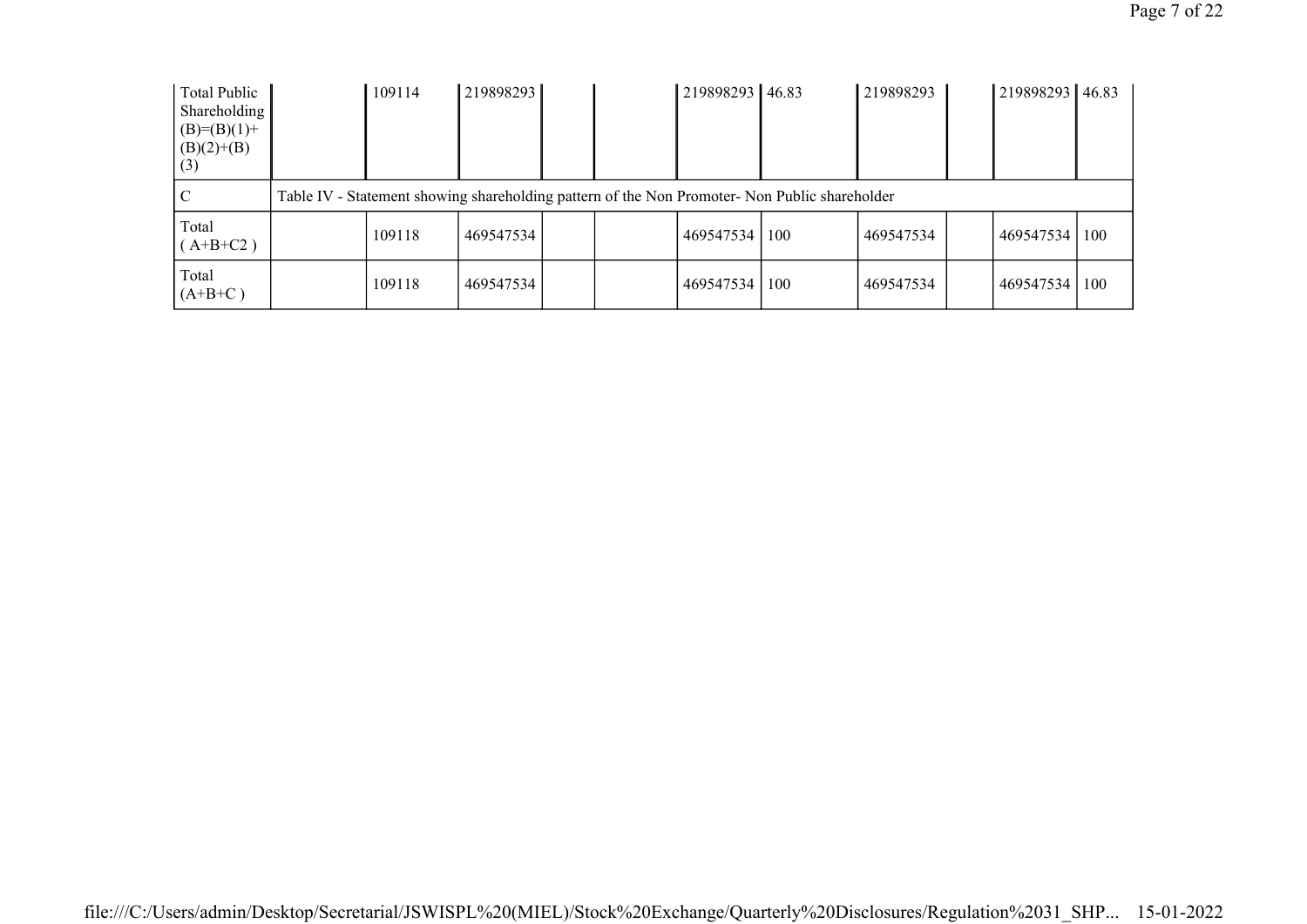| Total Public<br>Shareholding<br>$(B)= (B)(1) +$<br>$(B)(2)+(B)$<br>(3) | 109114 | 219898293 |  | 219898293 46.83 |                                                                                               | 219898293 | 219898293 46.83 |     |  |
|------------------------------------------------------------------------|--------|-----------|--|-----------------|-----------------------------------------------------------------------------------------------|-----------|-----------------|-----|--|
| $\mathsf{C}^{\mathsf{I}}$                                              |        |           |  |                 | Table IV - Statement showing shareholding pattern of the Non Promoter- Non Public shareholder |           |                 |     |  |
| Total<br>$(A+B+C2)$                                                    | 109118 | 469547534 |  | 469547534       | 100                                                                                           | 469547534 | 469547534       | 100 |  |
| Total<br>$(A+B+C)$                                                     | 109118 | 469547534 |  | 469547534       | 100                                                                                           | 469547534 | 469547534       | 100 |  |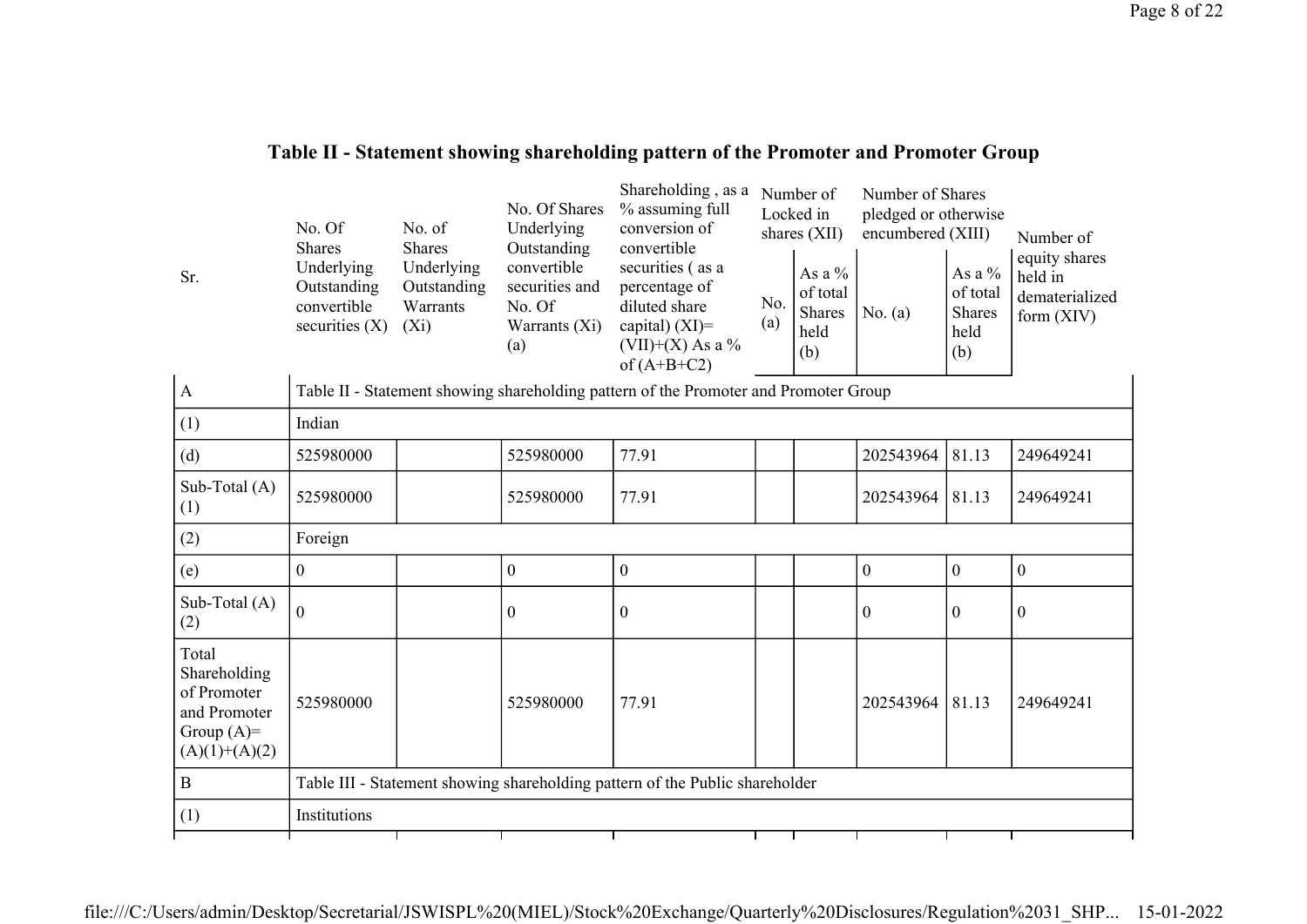## Table II - Statement showing shareholding pattern of the Promoter and Promoter Group

| Sr.                                                                                     | No. Of<br><b>Shares</b><br>Underlying<br>Outstanding<br>convertible<br>securities $(X)$ | No. of<br><b>Shares</b><br>Underlying<br>Outstanding<br>Warrants<br>$(X_i)$  | No. Of Shares<br>Underlying<br>Outstanding<br>convertible<br>securities and<br>No. Of<br>Warrants (Xi)<br>(a) | Shareholding, as a<br>% assuming full<br>conversion of<br>convertible<br>securities (as a<br>percentage of<br>diluted share<br>capital) $(XI)$ =<br>(VII)+(X) As a %<br>of $(A+B+C2)$ | No.<br>(a) | Number of<br>Locked in<br>shares (XII)<br>As a %<br>of total<br>Shares<br>held<br>(b) | Number of Shares<br>pledged or otherwise<br>encumbered (XIII)<br>No. $(a)$ | As a %<br>of total<br><b>Shares</b><br>held<br>(b) | Number of<br>equity shares<br>held in<br>dematerialized<br>form $(XIV)$ |  |
|-----------------------------------------------------------------------------------------|-----------------------------------------------------------------------------------------|------------------------------------------------------------------------------|---------------------------------------------------------------------------------------------------------------|---------------------------------------------------------------------------------------------------------------------------------------------------------------------------------------|------------|---------------------------------------------------------------------------------------|----------------------------------------------------------------------------|----------------------------------------------------|-------------------------------------------------------------------------|--|
| $\mathbf{A}$                                                                            |                                                                                         |                                                                              |                                                                                                               | Table II - Statement showing shareholding pattern of the Promoter and Promoter Group                                                                                                  |            |                                                                                       |                                                                            |                                                    |                                                                         |  |
| (1)                                                                                     | Indian                                                                                  |                                                                              |                                                                                                               |                                                                                                                                                                                       |            |                                                                                       |                                                                            |                                                    |                                                                         |  |
| (d)                                                                                     | 525980000                                                                               |                                                                              | 525980000                                                                                                     | 77.91                                                                                                                                                                                 |            |                                                                                       | 202543964                                                                  | 81.13                                              | 249649241                                                               |  |
| Sub-Total (A)<br>(1)                                                                    | 525980000                                                                               |                                                                              | 525980000                                                                                                     | 77.91                                                                                                                                                                                 |            |                                                                                       | 202543964                                                                  | 81.13                                              | 249649241                                                               |  |
| (2)                                                                                     | Foreign                                                                                 |                                                                              |                                                                                                               |                                                                                                                                                                                       |            |                                                                                       |                                                                            |                                                    |                                                                         |  |
| (e)                                                                                     | $\boldsymbol{0}$                                                                        |                                                                              | $\boldsymbol{0}$                                                                                              | $\mathbf{0}$                                                                                                                                                                          |            |                                                                                       | $\boldsymbol{0}$                                                           | $\boldsymbol{0}$                                   | $\boldsymbol{0}$                                                        |  |
| Sub-Total (A)<br>(2)                                                                    | $\Omega$                                                                                |                                                                              | $\mathbf{0}$                                                                                                  | $\theta$                                                                                                                                                                              |            |                                                                                       | $\theta$                                                                   | $\Omega$                                           | $\boldsymbol{0}$                                                        |  |
| Total<br>Shareholding<br>of Promoter<br>and Promoter<br>Group $(A)=$<br>$(A)(1)+(A)(2)$ | 525980000                                                                               |                                                                              | 525980000                                                                                                     | 77.91                                                                                                                                                                                 |            |                                                                                       | 202543964                                                                  | 81.13                                              | 249649241                                                               |  |
| $\, {\bf B}$                                                                            |                                                                                         | Table III - Statement showing shareholding pattern of the Public shareholder |                                                                                                               |                                                                                                                                                                                       |            |                                                                                       |                                                                            |                                                    |                                                                         |  |
| (1)                                                                                     | Institutions                                                                            |                                                                              |                                                                                                               |                                                                                                                                                                                       |            |                                                                                       |                                                                            |                                                    |                                                                         |  |
|                                                                                         |                                                                                         |                                                                              |                                                                                                               |                                                                                                                                                                                       |            |                                                                                       |                                                                            |                                                    |                                                                         |  |

file:///C:/Users/admin/Desktop/Secretarial/JSWISPL%20(MIEL)/Stock%20Exchange/Quarterly%20Disclosures/Regulation%2031\_SHP... 15-01-2022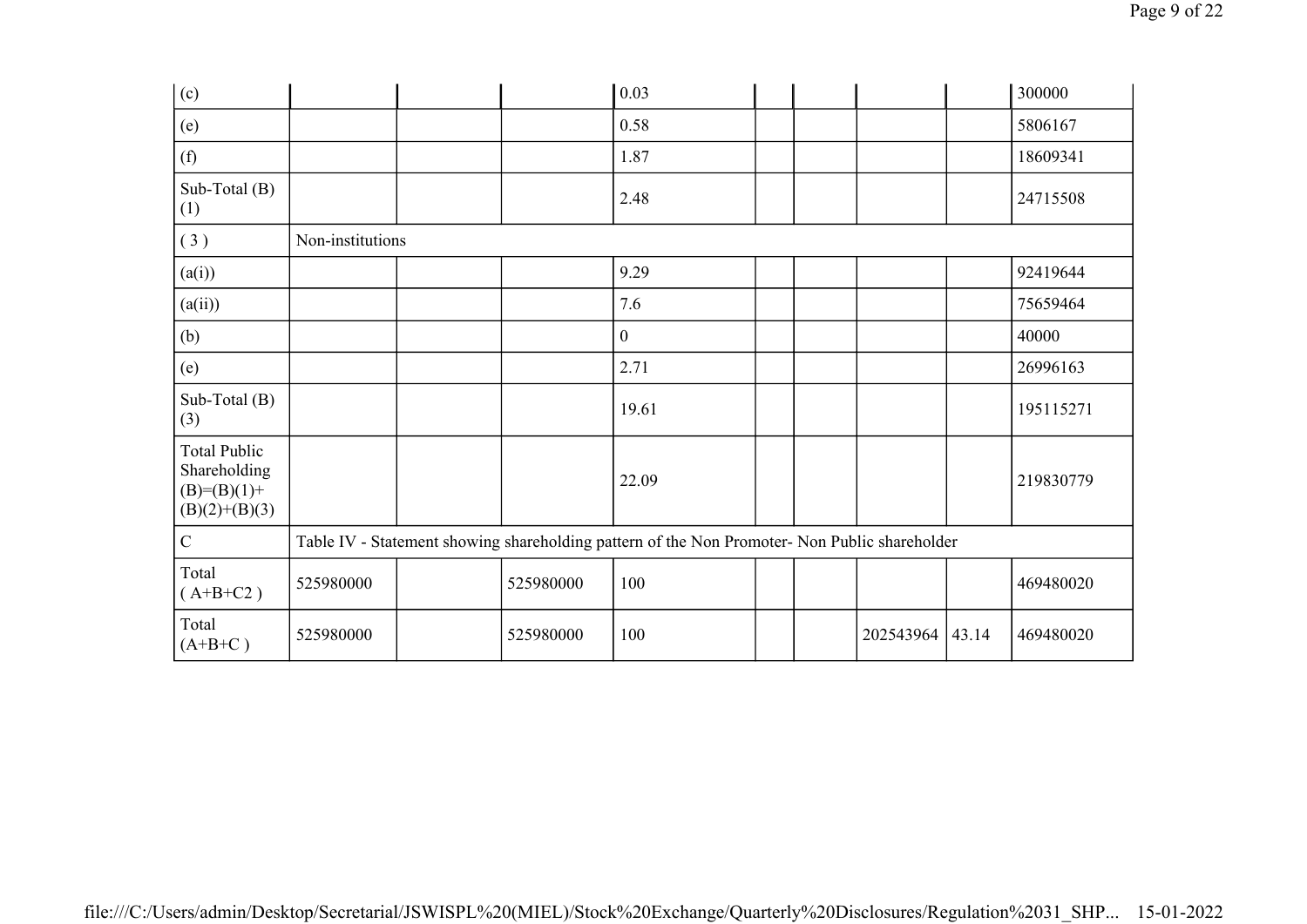| (c)                                                                       |                  |           | 0.03                                                                                          |  |           |       | 300000    |
|---------------------------------------------------------------------------|------------------|-----------|-----------------------------------------------------------------------------------------------|--|-----------|-------|-----------|
| (e)                                                                       |                  |           | 0.58                                                                                          |  |           |       | 5806167   |
| (f)                                                                       |                  |           | 1.87                                                                                          |  |           |       | 18609341  |
| Sub-Total $(B)$<br>(1)                                                    |                  |           | 2.48                                                                                          |  |           |       | 24715508  |
| (3)                                                                       | Non-institutions |           |                                                                                               |  |           |       |           |
| (a(i))                                                                    |                  |           | 9.29                                                                                          |  |           |       | 92419644  |
| (a(ii))                                                                   |                  |           | 7.6                                                                                           |  |           |       | 75659464  |
| (b)                                                                       |                  |           | $\overline{0}$                                                                                |  |           |       | 40000     |
| (e)                                                                       |                  |           | 2.71                                                                                          |  |           |       | 26996163  |
| Sub-Total (B)<br>(3)                                                      |                  |           | 19.61                                                                                         |  |           |       | 195115271 |
| <b>Total Public</b><br>Shareholding<br>$(B)= (B)(1) +$<br>$(B)(2)+(B)(3)$ |                  |           | 22.09                                                                                         |  |           |       | 219830779 |
| $\mathbf C$                                                               |                  |           | Table IV - Statement showing shareholding pattern of the Non Promoter- Non Public shareholder |  |           |       |           |
| Total<br>$(A+B+C2)$                                                       | 525980000        | 525980000 | 100                                                                                           |  |           |       | 469480020 |
| Total<br>$(A+B+C)$                                                        | 525980000        | 525980000 | 100                                                                                           |  | 202543964 | 43.14 | 469480020 |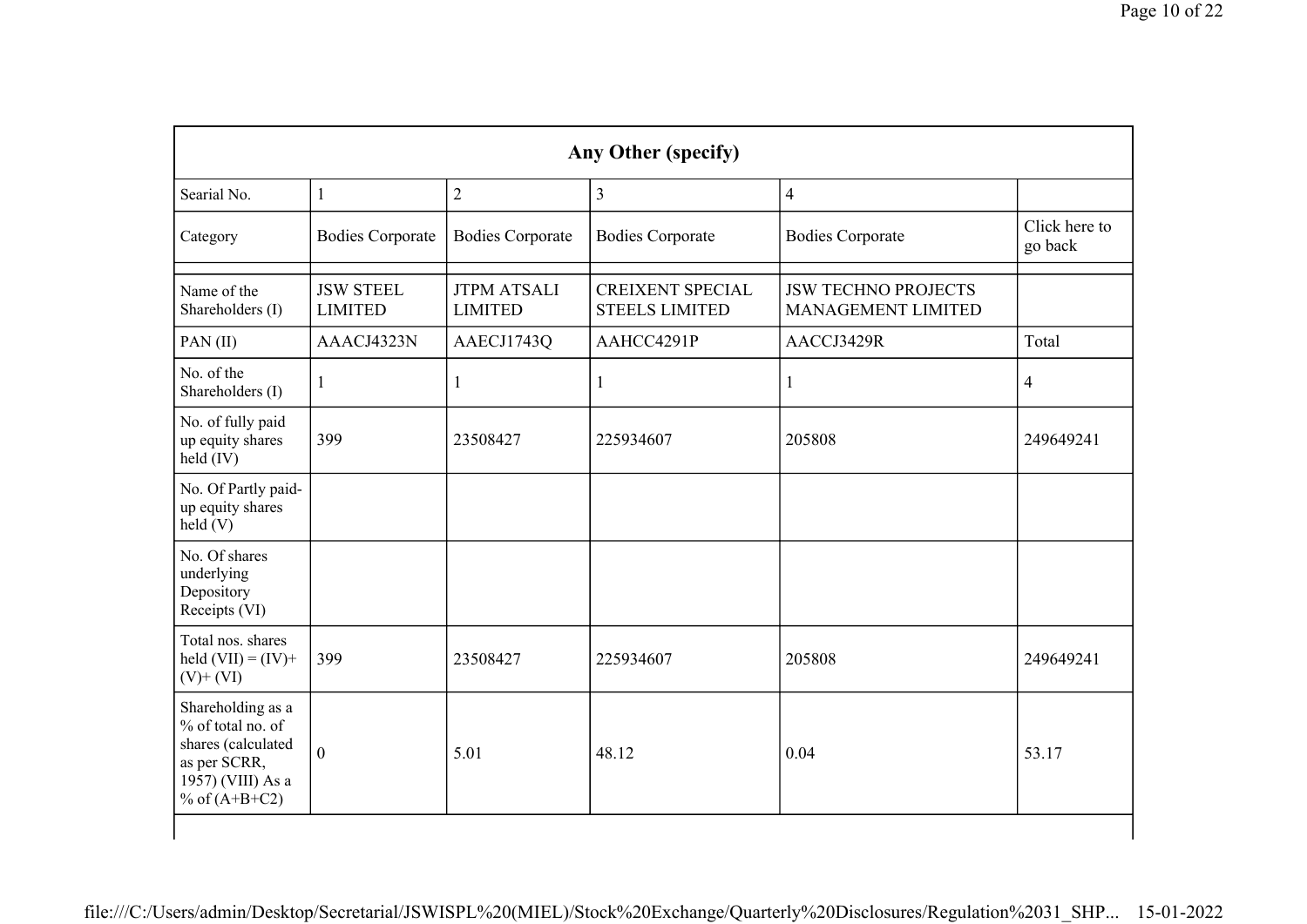|                                                                                                                      |                                    |                                      | Any Other (specify)                              |                                                  |                          |
|----------------------------------------------------------------------------------------------------------------------|------------------------------------|--------------------------------------|--------------------------------------------------|--------------------------------------------------|--------------------------|
| Searial No.                                                                                                          | $\mathbf{1}$                       | $\overline{2}$                       | $\overline{3}$                                   | $\overline{4}$                                   |                          |
| Category                                                                                                             | <b>Bodies Corporate</b>            | <b>Bodies Corporate</b>              | <b>Bodies Corporate</b>                          | <b>Bodies Corporate</b>                          | Click here to<br>go back |
| Name of the<br>Shareholders (I)                                                                                      | <b>JSW STEEL</b><br><b>LIMITED</b> | <b>JTPM ATSALI</b><br><b>LIMITED</b> | <b>CREIXENT SPECIAL</b><br><b>STEELS LIMITED</b> | <b>JSW TECHNO PROJECTS</b><br>MANAGEMENT LIMITED |                          |
| PAN(II)                                                                                                              | AAACJ4323N                         | AAECJ1743Q                           | AAHCC4291P                                       | AACCJ3429R                                       | Total                    |
| No. of the<br>Shareholders (I)                                                                                       | $\mathbf{1}$                       | $\mathbf{1}$                         | 1                                                | $\mathbf{1}$                                     | $\overline{4}$           |
| No. of fully paid<br>up equity shares<br>held (IV)                                                                   | 399                                | 23508427                             | 225934607                                        | 205808                                           | 249649241                |
| No. Of Partly paid-<br>up equity shares<br>held(V)                                                                   |                                    |                                      |                                                  |                                                  |                          |
| No. Of shares<br>underlying<br>Depository<br>Receipts (VI)                                                           |                                    |                                      |                                                  |                                                  |                          |
| Total nos. shares<br>held $(VII) = (IV) +$<br>$(V)$ + $(VI)$                                                         | 399                                | 23508427                             | 225934607                                        | 205808                                           | 249649241                |
| Shareholding as a<br>% of total no. of<br>shares (calculated<br>as per SCRR,<br>1957) (VIII) As a<br>% of $(A+B+C2)$ | $\boldsymbol{0}$                   | 5.01                                 | 48.12                                            | 0.04                                             | 53.17                    |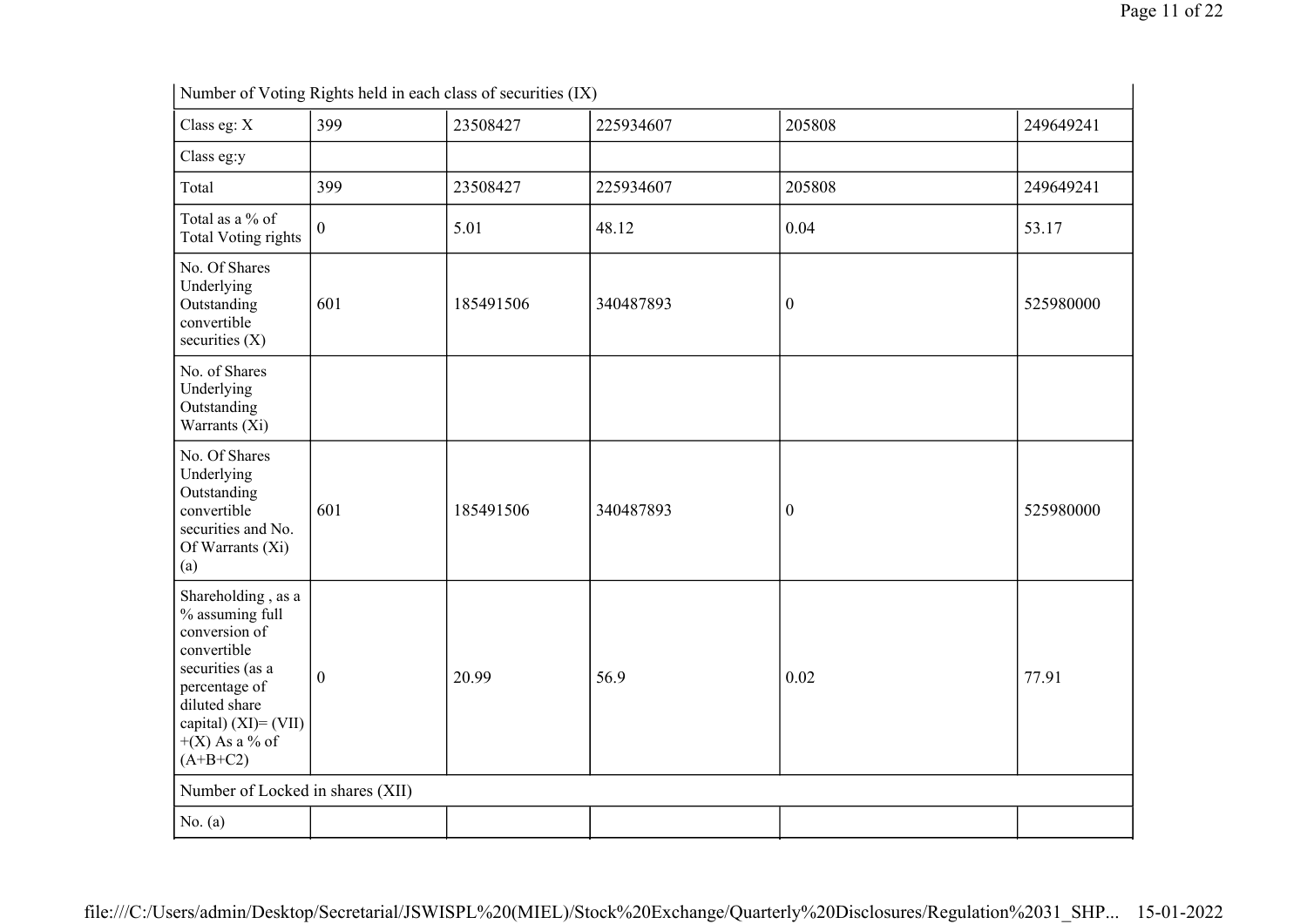|                                                                                                                                                                                          |                  | Number of Voting Rights held in each class of securities (IX) |           |                  |           |
|------------------------------------------------------------------------------------------------------------------------------------------------------------------------------------------|------------------|---------------------------------------------------------------|-----------|------------------|-----------|
| Class eg: X                                                                                                                                                                              | 399              | 23508427                                                      | 225934607 | 205808           | 249649241 |
| Class eg:y                                                                                                                                                                               |                  |                                                               |           |                  |           |
| Total                                                                                                                                                                                    | 399              | 23508427                                                      | 225934607 | 205808           | 249649241 |
| Total as a % of<br><b>Total Voting rights</b>                                                                                                                                            | $\overline{0}$   | 5.01                                                          | 48.12     | 0.04             | 53.17     |
| No. Of Shares<br>Underlying<br>Outstanding<br>convertible<br>securities $(X)$                                                                                                            | 601              | 185491506                                                     | 340487893 | $\boldsymbol{0}$ | 525980000 |
| No. of Shares<br>Underlying<br>Outstanding<br>Warrants (Xi)                                                                                                                              |                  |                                                               |           |                  |           |
| No. Of Shares<br>Underlying<br>Outstanding<br>convertible<br>securities and No.<br>Of Warrants (Xi)<br>(a)                                                                               | 601              | 185491506                                                     | 340487893 | $\boldsymbol{0}$ | 525980000 |
| Shareholding, as a<br>% assuming full<br>conversion of<br>convertible<br>securities (as a<br>percentage of<br>diluted share<br>capital) $(XI) = (VII)$<br>$+(X)$ As a % of<br>$(A+B+C2)$ | $\boldsymbol{0}$ | 20.99                                                         | 56.9      | 0.02             | 77.91     |
| Number of Locked in shares (XII)                                                                                                                                                         |                  |                                                               |           |                  |           |
| No. $(a)$                                                                                                                                                                                |                  |                                                               |           |                  |           |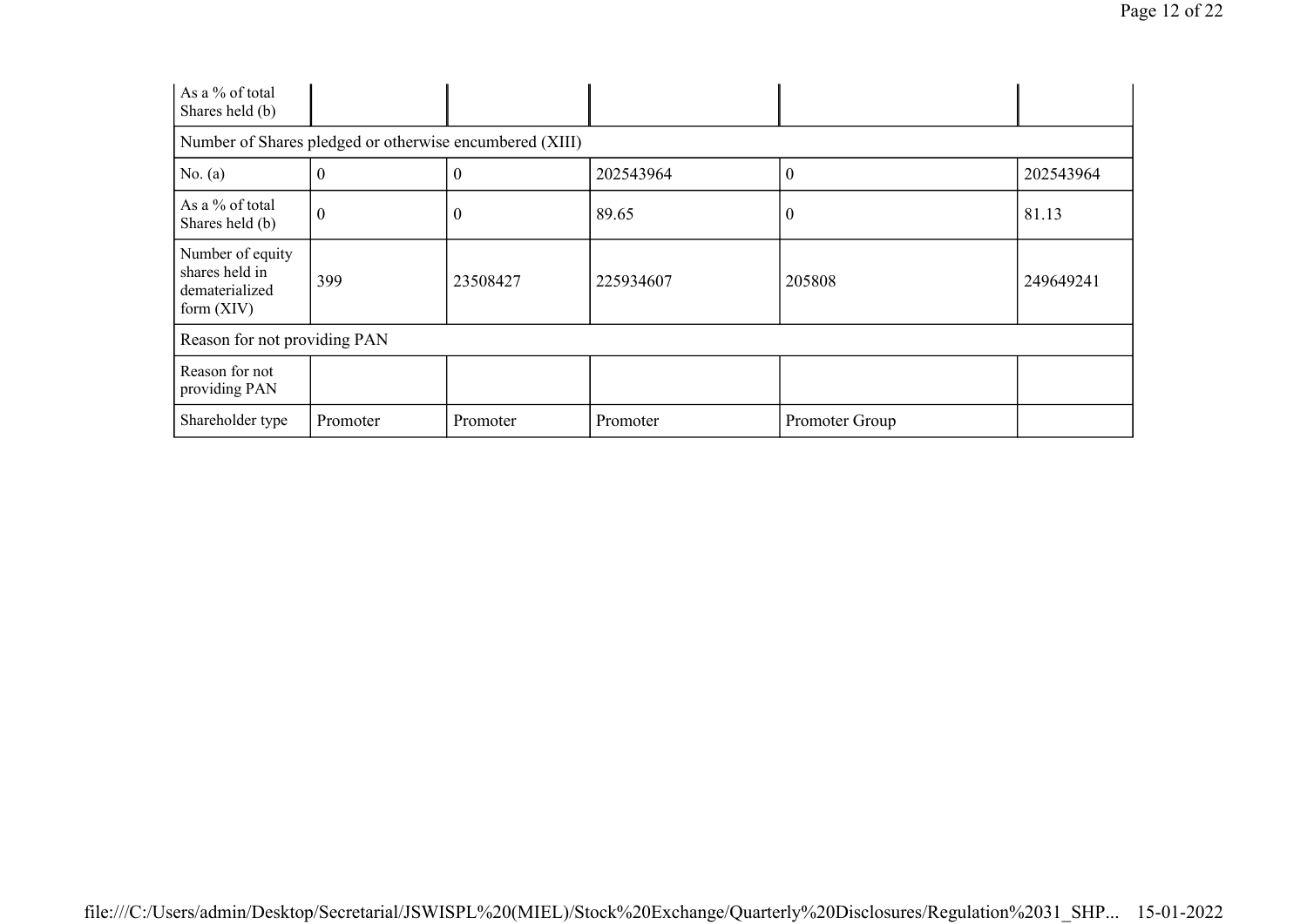| As a % of total<br>Shares held (b)                                   |                  |                                                         |           |                  |           |
|----------------------------------------------------------------------|------------------|---------------------------------------------------------|-----------|------------------|-----------|
|                                                                      |                  | Number of Shares pledged or otherwise encumbered (XIII) |           |                  |           |
| No. $(a)$                                                            | $\boldsymbol{0}$ | 0                                                       | 202543964 | $\boldsymbol{0}$ | 202543964 |
| As a % of total<br>Shares held (b)                                   | $\boldsymbol{0}$ | $\overline{0}$                                          | 89.65     | 0                | 81.13     |
| Number of equity<br>shares held in<br>dematerialized<br>form $(XIV)$ | 399              | 23508427                                                | 225934607 | 205808           | 249649241 |
| Reason for not providing PAN                                         |                  |                                                         |           |                  |           |
| Reason for not<br>providing PAN                                      |                  |                                                         |           |                  |           |
| Shareholder type                                                     | Promoter         | Promoter                                                | Promoter  | Promoter Group   |           |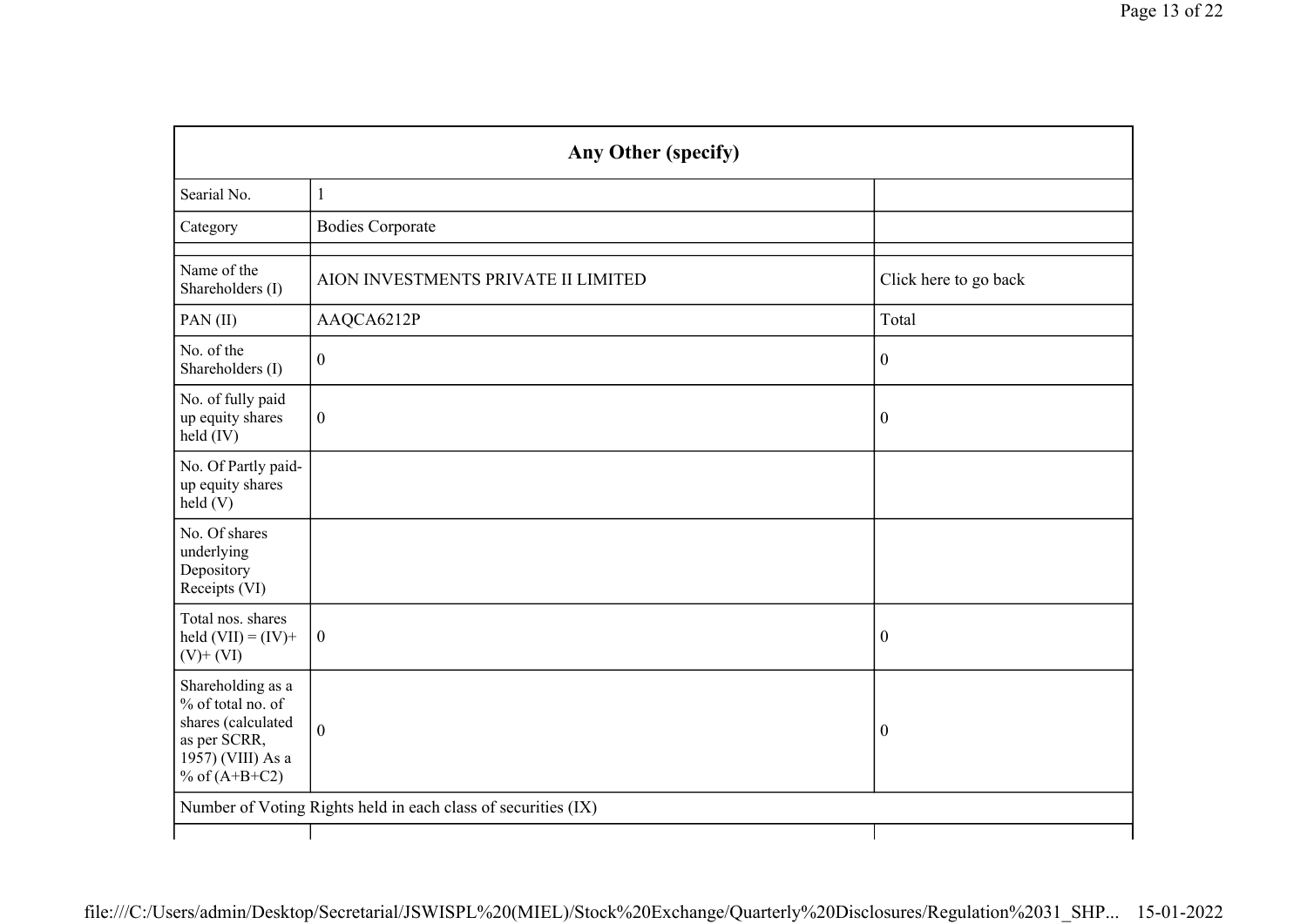| Any Other (specify)                                                                                                  |                                     |                       |  |  |
|----------------------------------------------------------------------------------------------------------------------|-------------------------------------|-----------------------|--|--|
| Searial No.                                                                                                          | $\mathbf{1}$                        |                       |  |  |
| Category                                                                                                             | <b>Bodies Corporate</b>             |                       |  |  |
| Name of the<br>Shareholders (I)                                                                                      | AION INVESTMENTS PRIVATE II LIMITED | Click here to go back |  |  |
| PAN(II)                                                                                                              | AAQCA6212P                          | Total                 |  |  |
| No. of the<br>Shareholders (I)                                                                                       | $\boldsymbol{0}$                    | $\boldsymbol{0}$      |  |  |
| No. of fully paid<br>up equity shares<br>held (IV)                                                                   | $\boldsymbol{0}$                    | $\boldsymbol{0}$      |  |  |
| No. Of Partly paid-<br>up equity shares<br>held(V)                                                                   |                                     |                       |  |  |
| No. Of shares<br>underlying<br>Depository<br>Receipts (VI)                                                           |                                     |                       |  |  |
| Total nos. shares<br>held $(VII) = (IV) +$<br>$(V)$ + $(VI)$                                                         | $\boldsymbol{0}$                    | $\boldsymbol{0}$      |  |  |
| Shareholding as a<br>% of total no. of<br>shares (calculated<br>as per SCRR,<br>1957) (VIII) As a<br>% of $(A+B+C2)$ | $\boldsymbol{0}$                    | $\boldsymbol{0}$      |  |  |
| Number of Voting Rights held in each class of securities (IX)                                                        |                                     |                       |  |  |
|                                                                                                                      |                                     |                       |  |  |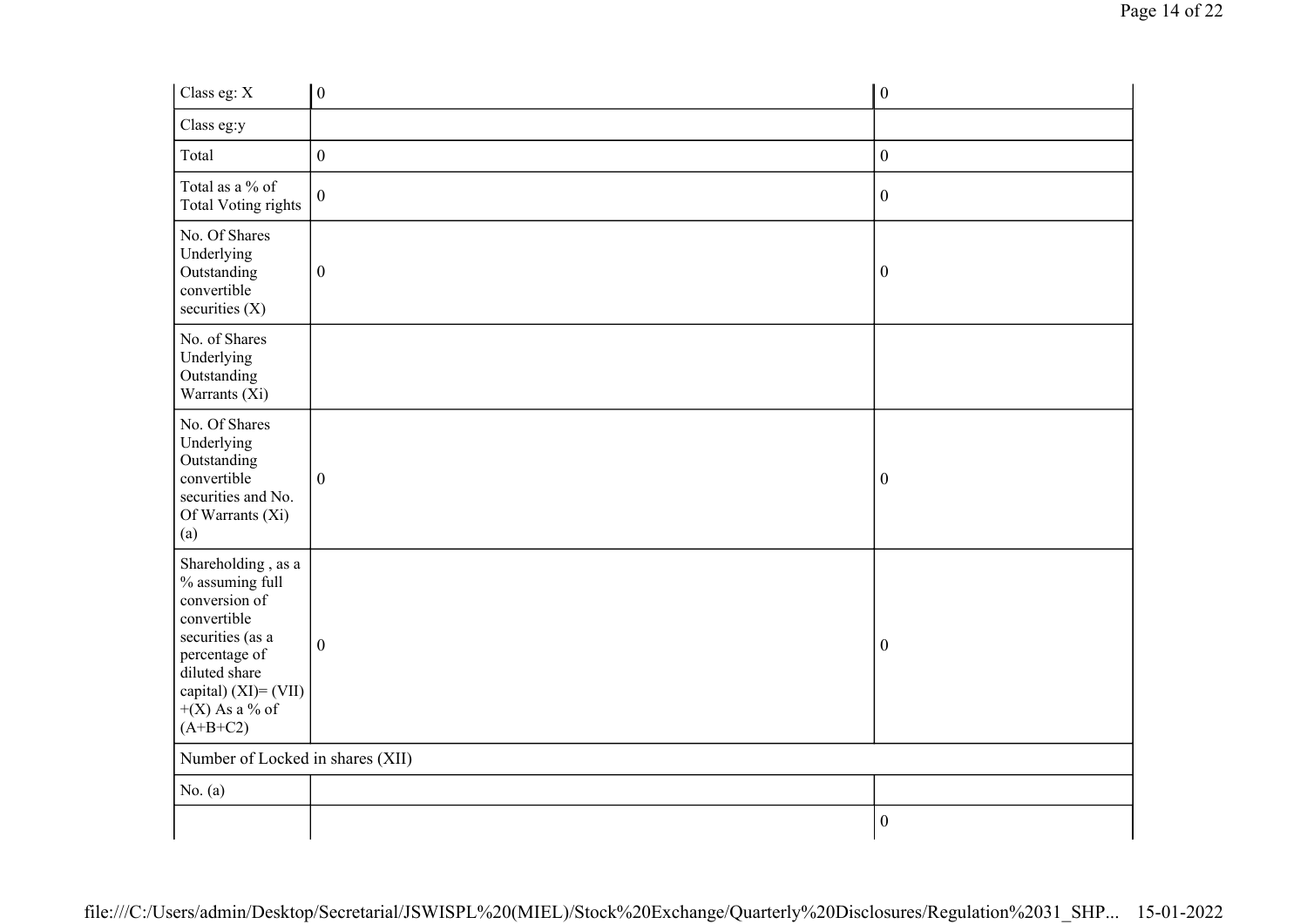| Class eg: X                                                                                                                                                                              | $\vert 0 \vert$  | $\boldsymbol{0}$ |
|------------------------------------------------------------------------------------------------------------------------------------------------------------------------------------------|------------------|------------------|
| Class eg:y                                                                                                                                                                               |                  |                  |
| Total                                                                                                                                                                                    | $\boldsymbol{0}$ | $\overline{0}$   |
| Total as a % of<br>Total Voting rights                                                                                                                                                   | $\boldsymbol{0}$ | $\boldsymbol{0}$ |
| No. Of Shares<br>Underlying<br>Outstanding<br>convertible<br>securities $(X)$                                                                                                            | $\boldsymbol{0}$ | $\boldsymbol{0}$ |
| No. of Shares<br>Underlying<br>Outstanding<br>Warrants (Xi)                                                                                                                              |                  |                  |
| No. Of Shares<br>Underlying<br>Outstanding<br>convertible<br>securities and No.<br>Of Warrants (Xi)<br>(a)                                                                               | $\boldsymbol{0}$ | $\boldsymbol{0}$ |
| Shareholding, as a<br>% assuming full<br>conversion of<br>convertible<br>securities (as a<br>percentage of<br>diluted share<br>capital) $(XI) = (VII)$<br>$+(X)$ As a % of<br>$(A+B+C2)$ | $\overline{0}$   | $\boldsymbol{0}$ |
| Number of Locked in shares (XII)                                                                                                                                                         |                  |                  |
| No. $(a)$                                                                                                                                                                                |                  |                  |
|                                                                                                                                                                                          |                  | $\boldsymbol{0}$ |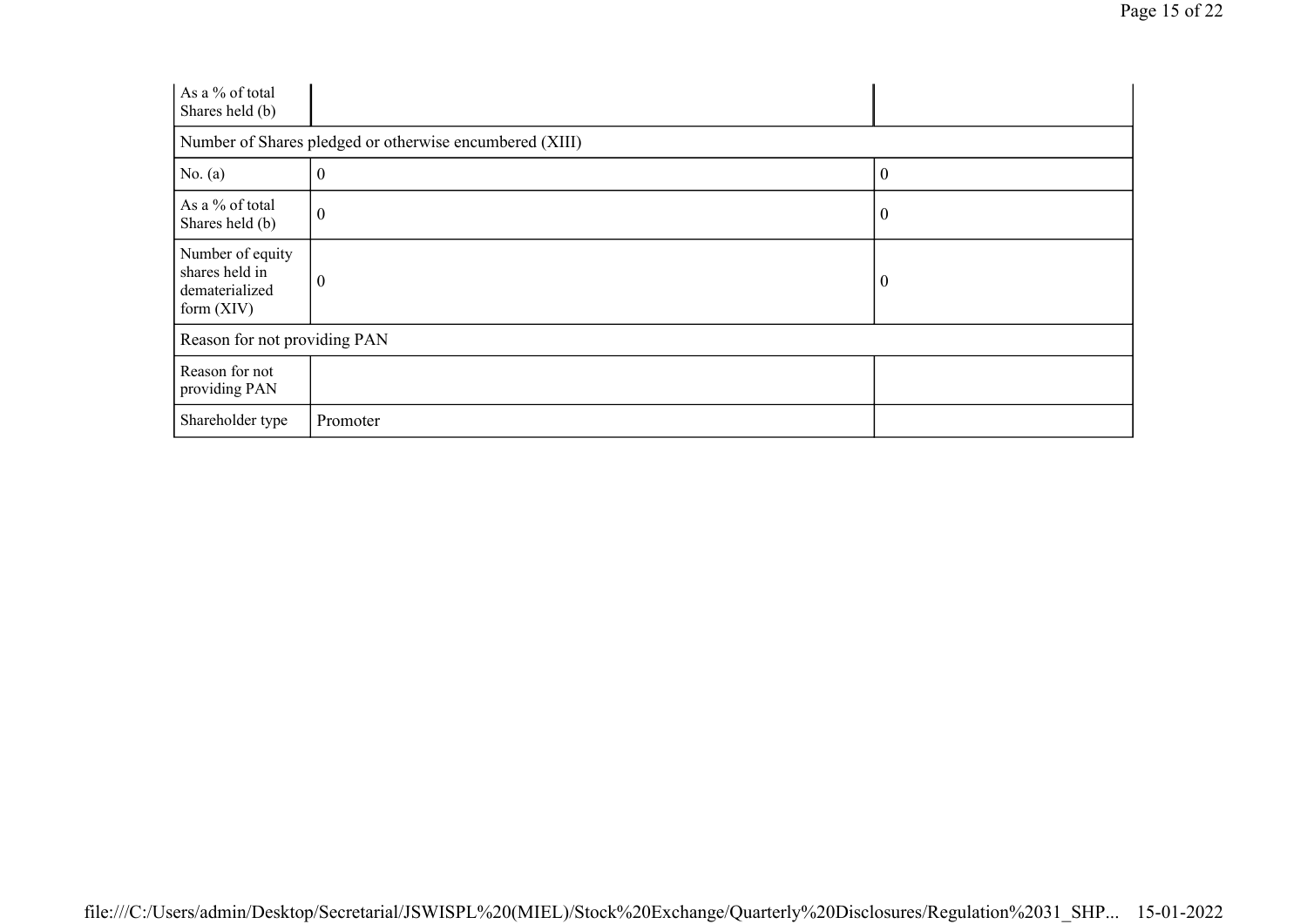| As a % of total<br>Shares held (b)                                   |                                                         |                  |  |  |
|----------------------------------------------------------------------|---------------------------------------------------------|------------------|--|--|
|                                                                      | Number of Shares pledged or otherwise encumbered (XIII) |                  |  |  |
| No. $(a)$                                                            | $\boldsymbol{0}$                                        | $\boldsymbol{0}$ |  |  |
| As a % of total<br>Shares held (b)                                   | $\boldsymbol{0}$                                        | $\overline{0}$   |  |  |
| Number of equity<br>shares held in<br>dematerialized<br>form $(XIV)$ | $\boldsymbol{0}$                                        | $\overline{0}$   |  |  |
| Reason for not providing PAN                                         |                                                         |                  |  |  |
| Reason for not<br>providing PAN                                      |                                                         |                  |  |  |
| Shareholder type                                                     | Promoter                                                |                  |  |  |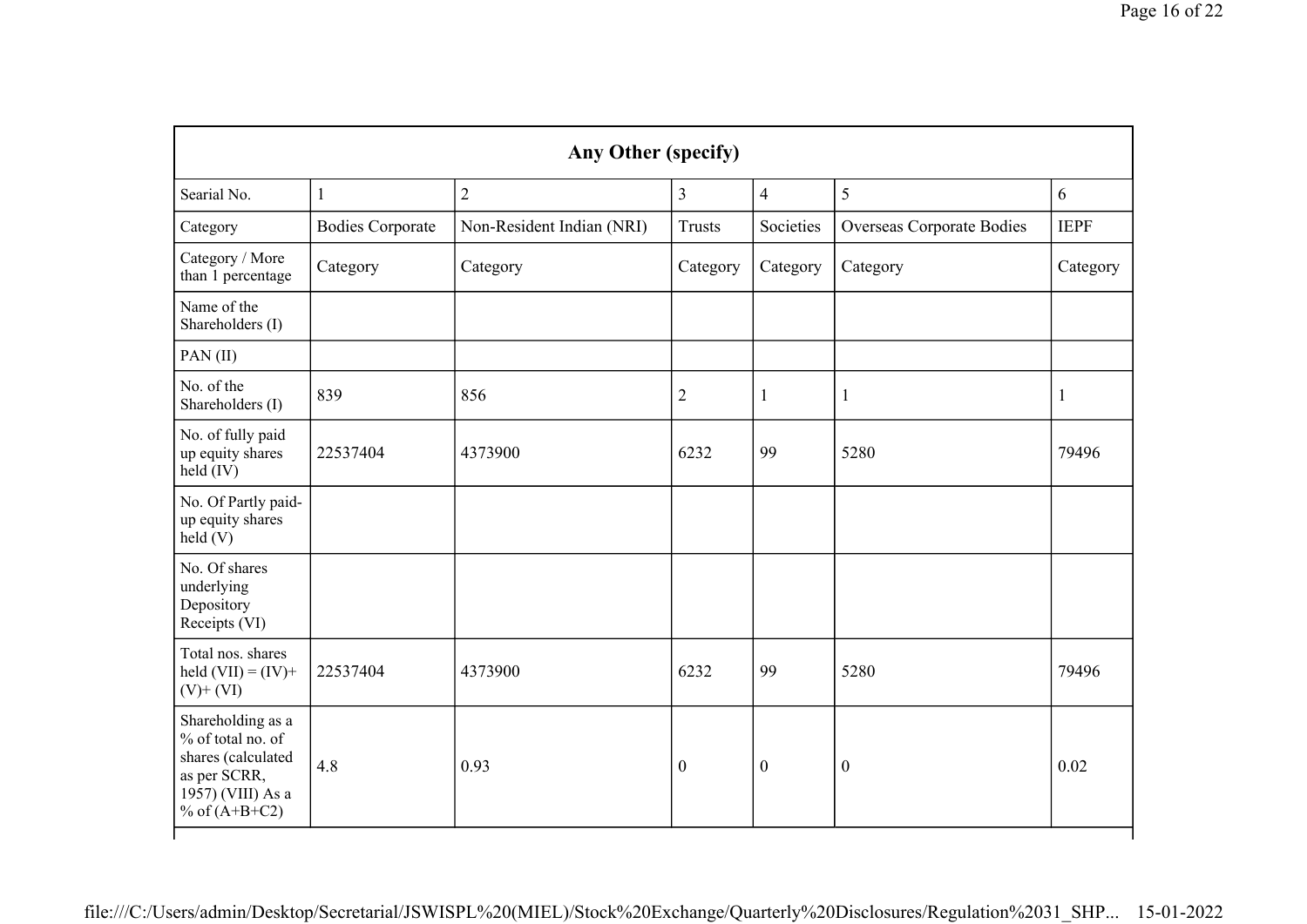|                                                                                                                      |                         | Any Other (specify)       |                  |                  |                                  |             |
|----------------------------------------------------------------------------------------------------------------------|-------------------------|---------------------------|------------------|------------------|----------------------------------|-------------|
| Searial No.                                                                                                          | $\mathbf{1}$            | $\overline{2}$            | 3                | $\overline{4}$   | 5                                | 6           |
| Category                                                                                                             | <b>Bodies Corporate</b> | Non-Resident Indian (NRI) | <b>Trusts</b>    | Societies        | <b>Overseas Corporate Bodies</b> | <b>IEPF</b> |
| Category / More<br>than 1 percentage                                                                                 | Category                | Category                  | Category         | Category         | Category                         | Category    |
| Name of the<br>Shareholders (I)                                                                                      |                         |                           |                  |                  |                                  |             |
| PAN(II)                                                                                                              |                         |                           |                  |                  |                                  |             |
| No. of the<br>Shareholders (I)                                                                                       | 839                     | 856                       | $\overline{2}$   | 1                | 1                                | 1           |
| No. of fully paid<br>up equity shares<br>held (IV)                                                                   | 22537404                | 4373900                   | 6232             | 99               | 5280                             | 79496       |
| No. Of Partly paid-<br>up equity shares<br>held(V)                                                                   |                         |                           |                  |                  |                                  |             |
| No. Of shares<br>underlying<br>Depository<br>Receipts (VI)                                                           |                         |                           |                  |                  |                                  |             |
| Total nos. shares<br>held $(VII) = (IV) +$<br>$(V)$ + $(VI)$                                                         | 22537404                | 4373900                   | 6232             | 99               | 5280                             | 79496       |
| Shareholding as a<br>% of total no. of<br>shares (calculated<br>as per SCRR,<br>1957) (VIII) As a<br>% of $(A+B+C2)$ | 4.8                     | 0.93                      | $\boldsymbol{0}$ | $\boldsymbol{0}$ | $\boldsymbol{0}$                 | 0.02        |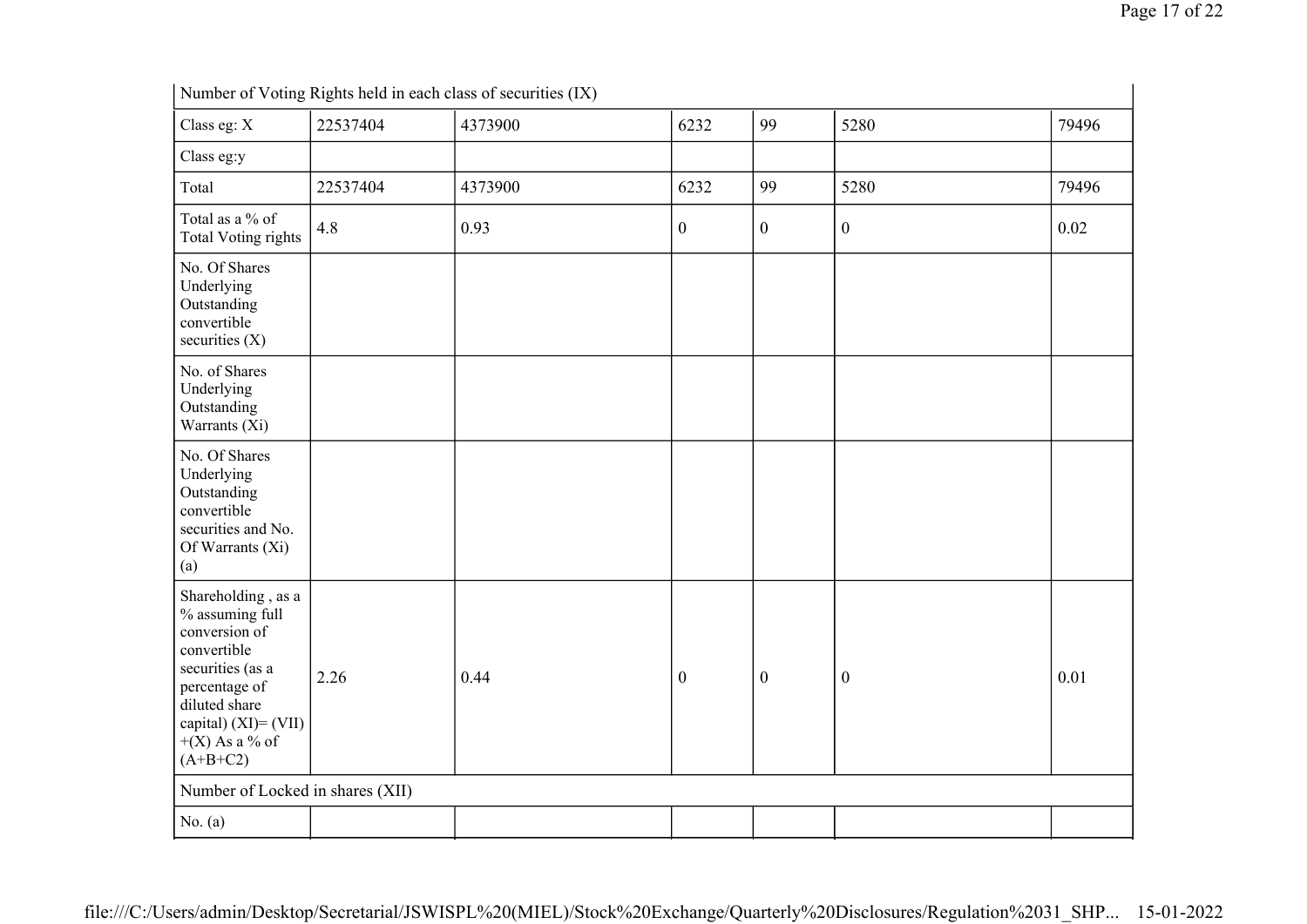|                                                                                                                                                                                       | Number of Voting Rights held in each class of securities (IX) |         |                  |                  |                  |       |
|---------------------------------------------------------------------------------------------------------------------------------------------------------------------------------------|---------------------------------------------------------------|---------|------------------|------------------|------------------|-------|
| Class eg: X                                                                                                                                                                           | 22537404                                                      | 4373900 | 6232             | 99               | 5280             | 79496 |
| Class eg:y                                                                                                                                                                            |                                                               |         |                  |                  |                  |       |
| Total                                                                                                                                                                                 | 22537404                                                      | 4373900 | 6232             | 99               | 5280             | 79496 |
| Total as a % of<br><b>Total Voting rights</b>                                                                                                                                         | 4.8                                                           | 0.93    | $\boldsymbol{0}$ | $\mathbf{0}$     | $\boldsymbol{0}$ | 0.02  |
| No. Of Shares<br>Underlying<br>Outstanding<br>convertible<br>securities $(X)$                                                                                                         |                                                               |         |                  |                  |                  |       |
| No. of Shares<br>Underlying<br>Outstanding<br>Warrants (Xi)                                                                                                                           |                                                               |         |                  |                  |                  |       |
| No. Of Shares<br>Underlying<br>Outstanding<br>convertible<br>securities and No.<br>Of Warrants (Xi)<br>(a)                                                                            |                                                               |         |                  |                  |                  |       |
| Shareholding, as a<br>% assuming full<br>conversion of<br>convertible<br>securities (as a<br>percentage of<br>diluted share<br>capital) (XI)= (VII)<br>$+(X)$ As a % of<br>$(A+B+C2)$ | 2.26                                                          | 0.44    | $\boldsymbol{0}$ | $\boldsymbol{0}$ | $\boldsymbol{0}$ | 0.01  |
| Number of Locked in shares (XII)                                                                                                                                                      |                                                               |         |                  |                  |                  |       |
| No. $(a)$                                                                                                                                                                             |                                                               |         |                  |                  |                  |       |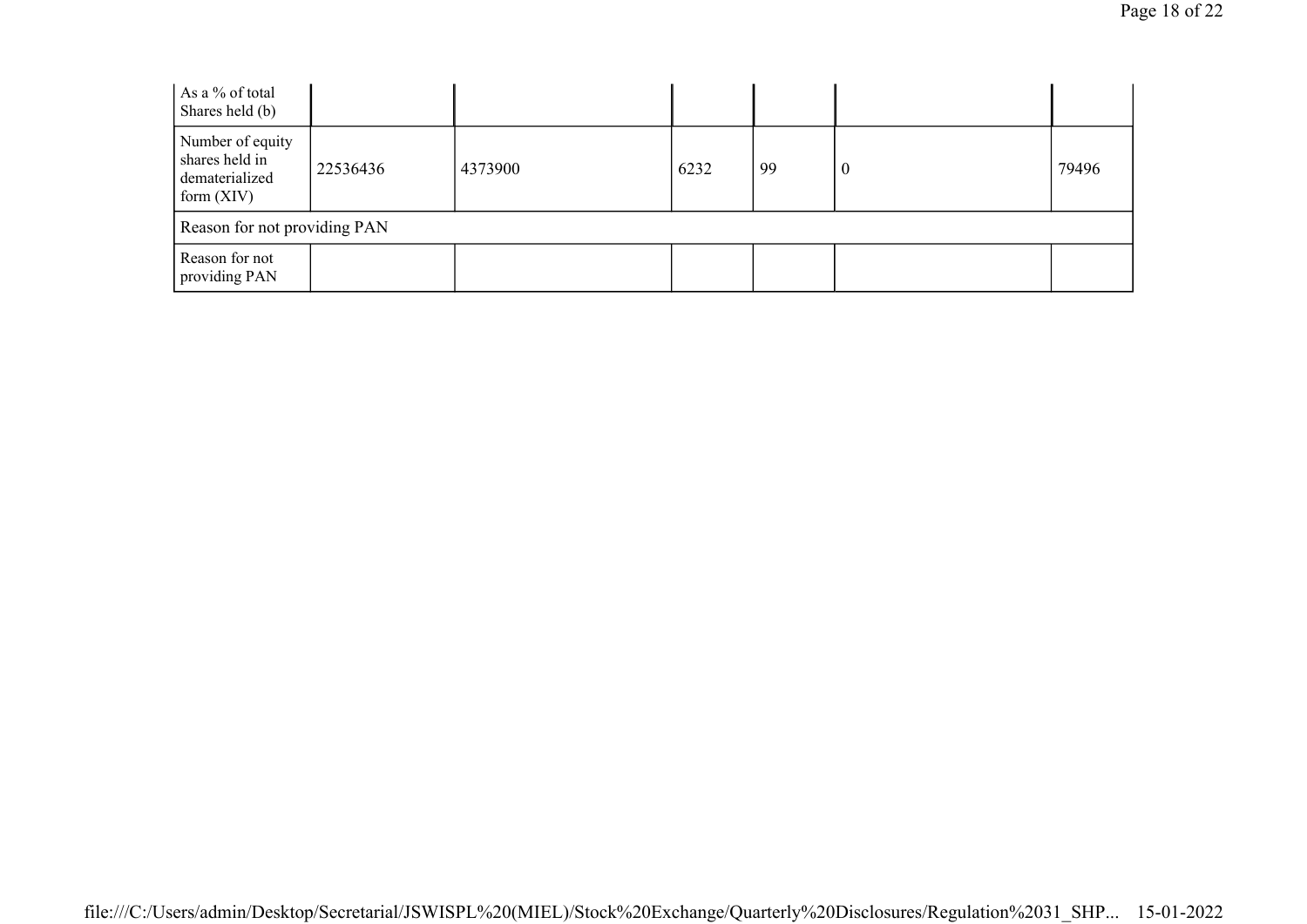| As a % of total<br>Shares held (b)                                   |          |         |      |    |          |       |
|----------------------------------------------------------------------|----------|---------|------|----|----------|-------|
| Number of equity<br>shares held in<br>dematerialized<br>form $(XIV)$ | 22536436 | 4373900 | 6232 | 99 | $\theta$ | 79496 |
| Reason for not providing PAN                                         |          |         |      |    |          |       |
| Reason for not<br>providing PAN                                      |          |         |      |    |          |       |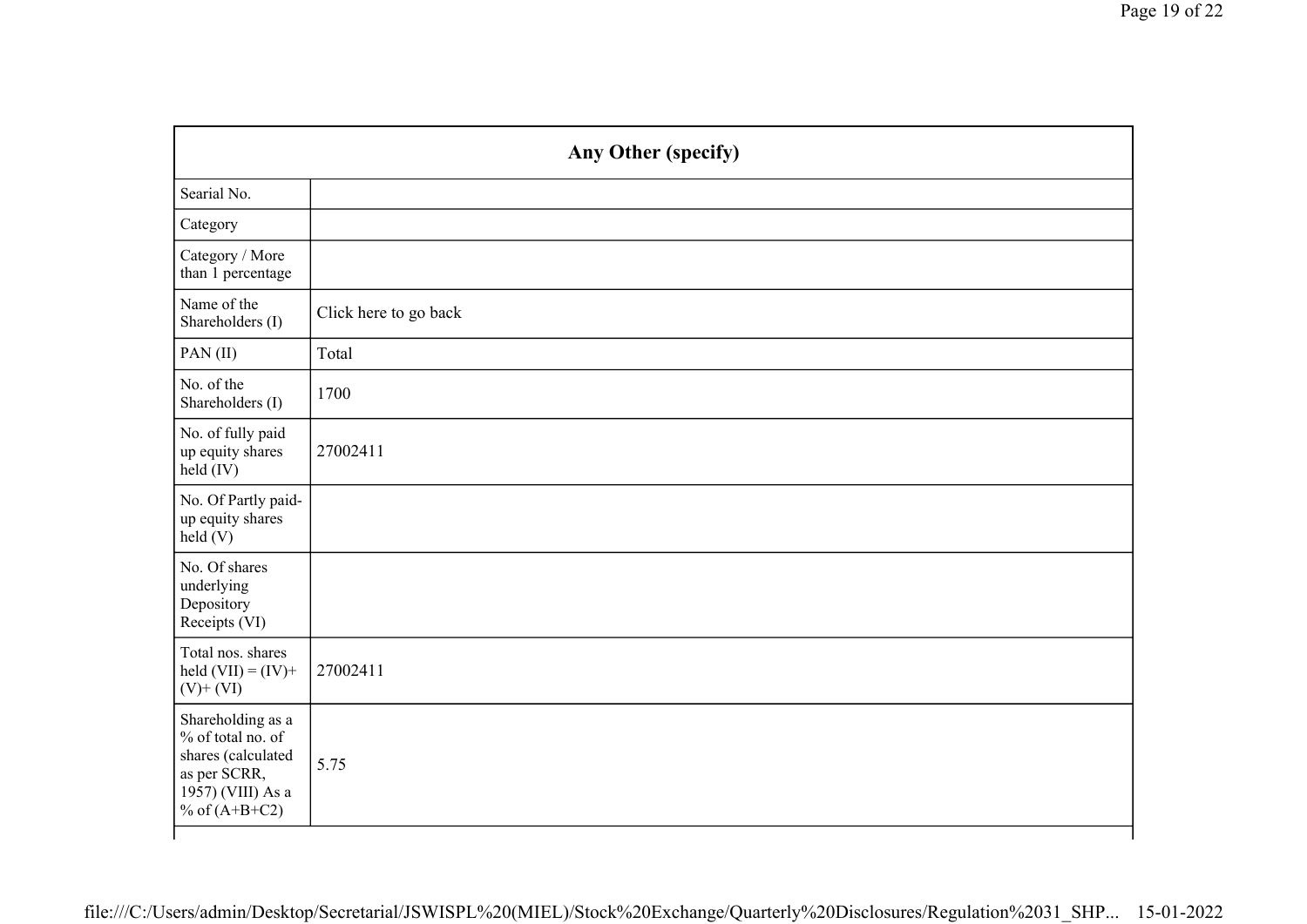| Any Other (specify)                                                                                                  |                       |  |
|----------------------------------------------------------------------------------------------------------------------|-----------------------|--|
| Searial No.                                                                                                          |                       |  |
| Category                                                                                                             |                       |  |
| Category / More<br>than 1 percentage                                                                                 |                       |  |
| Name of the<br>Shareholders (I)                                                                                      | Click here to go back |  |
| PAN(II)                                                                                                              | Total                 |  |
| No. of the<br>Shareholders (I)                                                                                       | 1700                  |  |
| No. of fully paid<br>up equity shares<br>held (IV)                                                                   | 27002411              |  |
| No. Of Partly paid-<br>up equity shares<br>held (V)                                                                  |                       |  |
| No. Of shares<br>underlying<br>Depository<br>Receipts (VI)                                                           |                       |  |
| Total nos. shares<br>held $(VII) = (IV) +$<br>$(V)$ + $(VI)$                                                         | 27002411              |  |
| Shareholding as a<br>% of total no. of<br>shares (calculated<br>as per SCRR,<br>1957) (VIII) As a<br>% of $(A+B+C2)$ | 5.75                  |  |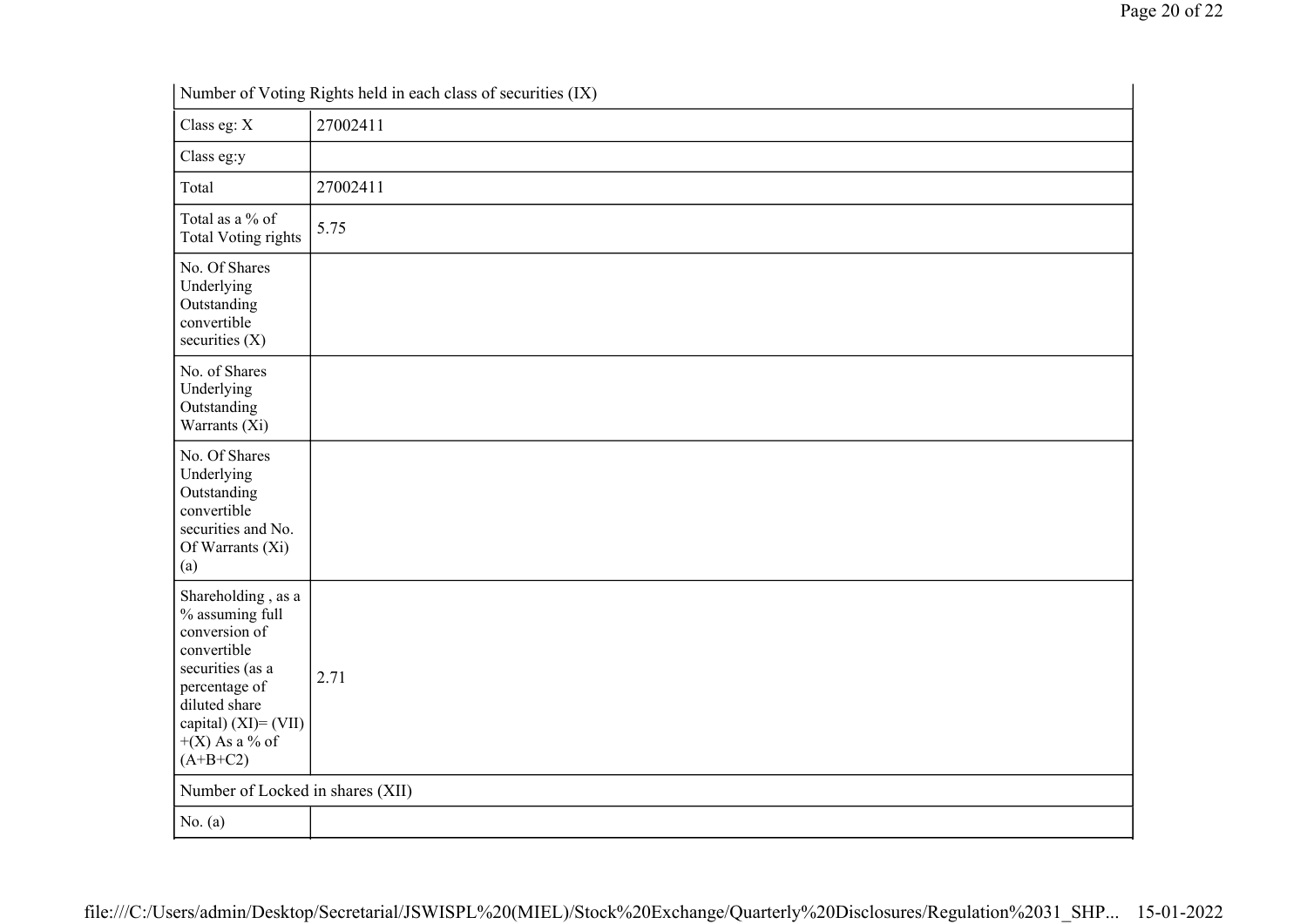|                                                                                                                                                                                          | Number of Voting Rights held in each class of securities (IX) |
|------------------------------------------------------------------------------------------------------------------------------------------------------------------------------------------|---------------------------------------------------------------|
| Class eg: X                                                                                                                                                                              | 27002411                                                      |
| Class eg:y                                                                                                                                                                               |                                                               |
| Total                                                                                                                                                                                    | 27002411                                                      |
| Total as a % of<br><b>Total Voting rights</b>                                                                                                                                            | 5.75                                                          |
| No. Of Shares<br>Underlying<br>Outstanding<br>convertible<br>securities $(X)$                                                                                                            |                                                               |
| No. of Shares<br>Underlying<br>Outstanding<br>Warrants (Xi)                                                                                                                              |                                                               |
| No. Of Shares<br>Underlying<br>Outstanding<br>convertible<br>securities and No.<br>Of Warrants (Xi)<br>(a)                                                                               |                                                               |
| Shareholding, as a<br>% assuming full<br>conversion of<br>convertible<br>securities (as a<br>percentage of<br>diluted share<br>capital) $(XI) = (VII)$<br>$+(X)$ As a % of<br>$(A+B+C2)$ | 2.71                                                          |
| Number of Locked in shares (XII)                                                                                                                                                         |                                                               |
| No. $(a)$                                                                                                                                                                                |                                                               |

Number of Voting Rights held in each class of securities (IX)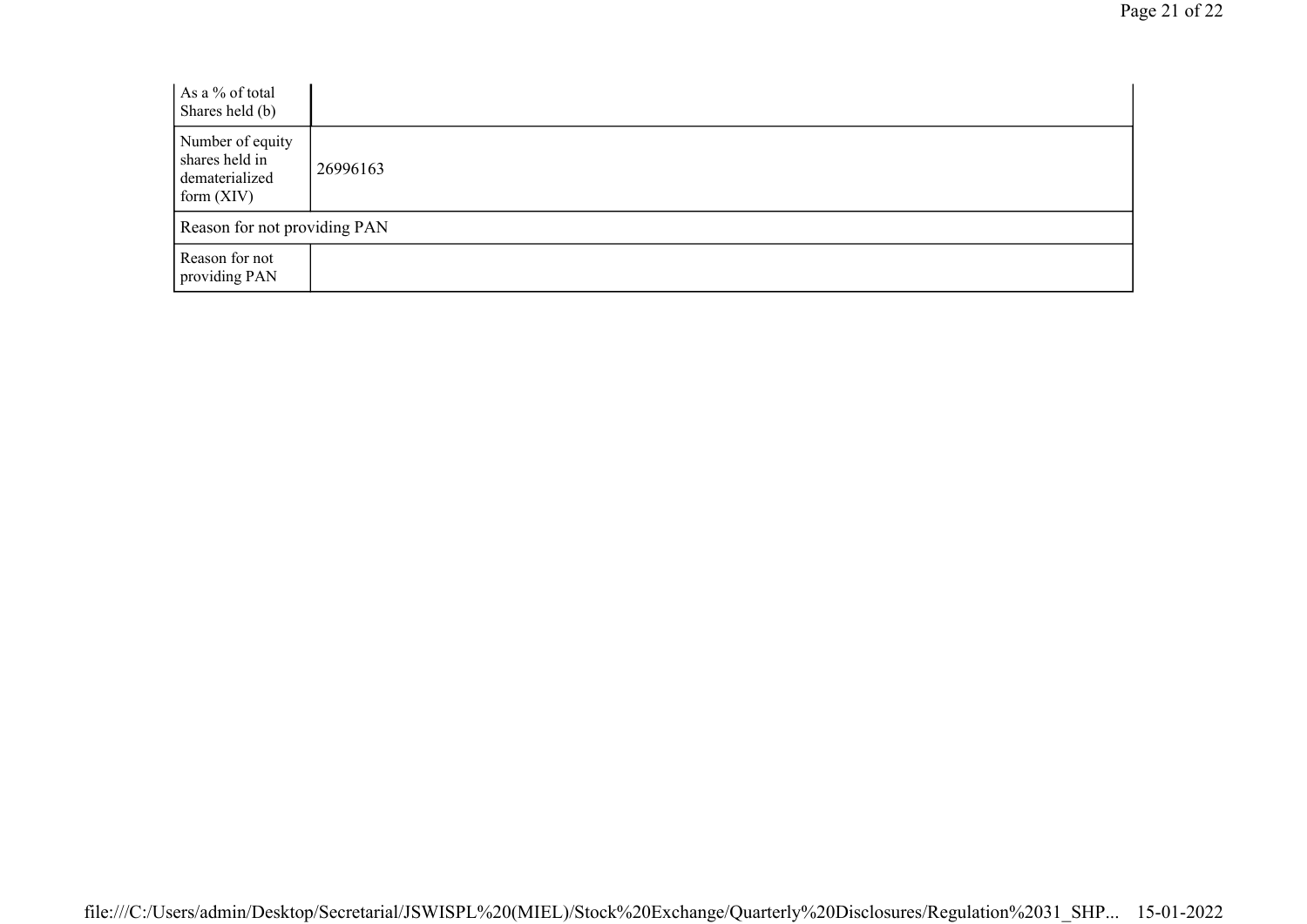| As a % of total<br>Shares held (b)                                   |          |
|----------------------------------------------------------------------|----------|
| Number of equity<br>shares held in<br>dematerialized<br>form $(XIV)$ | 26996163 |
| Reason for not providing PAN                                         |          |
| Reason for not<br>providing PAN                                      |          |